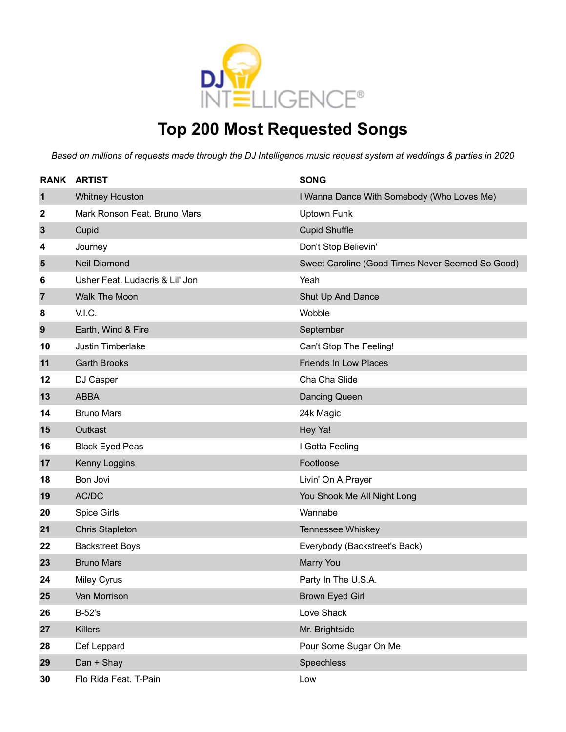

### **Top 200 Most Requested Songs**

|                | <b>RANK ARTIST</b>              | <b>SONG</b>                                      |
|----------------|---------------------------------|--------------------------------------------------|
| $\mathbf 1$    | <b>Whitney Houston</b>          | I Wanna Dance With Somebody (Who Loves Me)       |
| 2              | Mark Ronson Feat. Bruno Mars    | <b>Uptown Funk</b>                               |
| $\mathbf{3}$   | Cupid                           | <b>Cupid Shuffle</b>                             |
| 4              | Journey                         | Don't Stop Believin'                             |
| $5\phantom{1}$ | <b>Neil Diamond</b>             | Sweet Caroline (Good Times Never Seemed So Good) |
| 6              | Usher Feat. Ludacris & Lil' Jon | Yeah                                             |
| $\overline{7}$ | <b>Walk The Moon</b>            | Shut Up And Dance                                |
| 8              | V.I.C.                          | Wobble                                           |
| 9              | Earth, Wind & Fire              | September                                        |
| 10             | Justin Timberlake               | Can't Stop The Feeling!                          |
| 11             | <b>Garth Brooks</b>             | <b>Friends In Low Places</b>                     |
| 12             | DJ Casper                       | Cha Cha Slide                                    |
| 13             | <b>ABBA</b>                     | <b>Dancing Queen</b>                             |
| 14             | <b>Bruno Mars</b>               | 24k Magic                                        |
| 15             | Outkast                         | Hey Ya!                                          |
| 16             | <b>Black Eyed Peas</b>          | I Gotta Feeling                                  |
| 17             | Kenny Loggins                   | Footloose                                        |
| 18             | Bon Jovi                        | Livin' On A Prayer                               |
| 19             | AC/DC                           | You Shook Me All Night Long                      |
| 20             | Spice Girls                     | Wannabe                                          |
| 21             | <b>Chris Stapleton</b>          | Tennessee Whiskey                                |
| 22             | <b>Backstreet Boys</b>          | Everybody (Backstreet's Back)                    |
| 23             | <b>Bruno Mars</b>               | Marry You                                        |
| 24             | Miley Cyrus                     | Party In The U.S.A.                              |
| 25             | Van Morrison                    | <b>Brown Eyed Girl</b>                           |
| 26             | <b>B-52's</b>                   | Love Shack                                       |
| 27             | <b>Killers</b>                  | Mr. Brightside                                   |
| 28             | Def Leppard                     | Pour Some Sugar On Me                            |
| 29             | Dan + Shay                      | Speechless                                       |
| 30             | Flo Rida Feat. T-Pain           | Low                                              |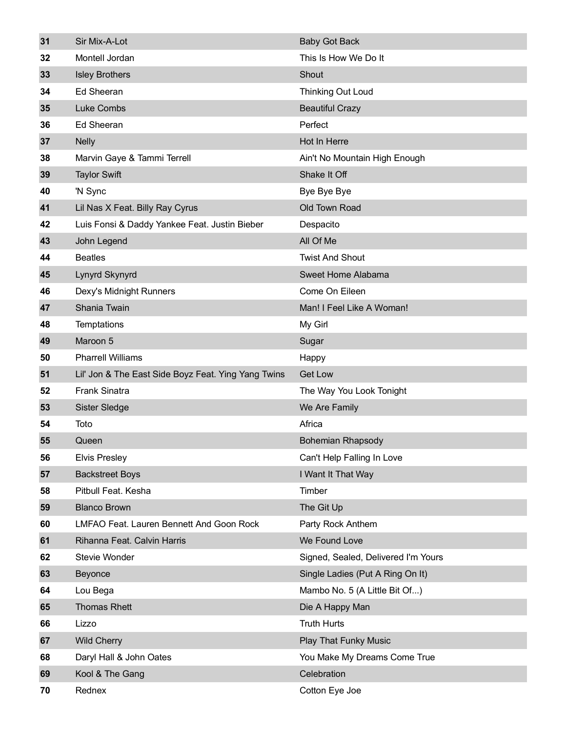| 31 | Sir Mix-A-Lot                                       | <b>Baby Got Back</b>                |
|----|-----------------------------------------------------|-------------------------------------|
| 32 | Montell Jordan                                      | This Is How We Do It                |
| 33 | <b>Isley Brothers</b>                               | Shout                               |
| 34 | <b>Ed Sheeran</b>                                   | <b>Thinking Out Loud</b>            |
| 35 | Luke Combs                                          | <b>Beautiful Crazy</b>              |
| 36 | <b>Ed Sheeran</b>                                   | Perfect                             |
| 37 | <b>Nelly</b>                                        | Hot In Herre                        |
| 38 | Marvin Gaye & Tammi Terrell                         | Ain't No Mountain High Enough       |
| 39 | <b>Taylor Swift</b>                                 | Shake It Off                        |
| 40 | 'N Sync                                             | Bye Bye Bye                         |
| 41 | Lil Nas X Feat. Billy Ray Cyrus                     | Old Town Road                       |
| 42 | Luis Fonsi & Daddy Yankee Feat. Justin Bieber       | Despacito                           |
| 43 | John Legend                                         | All Of Me                           |
| 44 | <b>Beatles</b>                                      | <b>Twist And Shout</b>              |
| 45 | Lynyrd Skynyrd                                      | Sweet Home Alabama                  |
| 46 | Dexy's Midnight Runners                             | Come On Eileen                      |
| 47 | Shania Twain                                        | Man! I Feel Like A Woman!           |
| 48 | Temptations                                         | My Girl                             |
| 49 | Maroon 5                                            | Sugar                               |
| 50 | <b>Pharrell Williams</b>                            | Happy                               |
| 51 | Lil' Jon & The East Side Boyz Feat. Ying Yang Twins | <b>Get Low</b>                      |
| 52 | <b>Frank Sinatra</b>                                | The Way You Look Tonight            |
| 53 | Sister Sledge                                       | We Are Family                       |
| 54 | Toto                                                | Africa                              |
| 55 | Queen                                               | <b>Bohemian Rhapsody</b>            |
| 56 | <b>Elvis Presley</b>                                | Can't Help Falling In Love          |
| 57 | <b>Backstreet Boys</b>                              | I Want It That Way                  |
| 58 | Pitbull Feat. Kesha                                 | Timber                              |
| 59 | <b>Blanco Brown</b>                                 | The Git Up                          |
| 60 | LMFAO Feat. Lauren Bennett And Goon Rock            | Party Rock Anthem                   |
| 61 | Rihanna Feat. Calvin Harris                         | We Found Love                       |
| 62 | Stevie Wonder                                       | Signed, Sealed, Delivered I'm Yours |
| 63 | Beyonce                                             | Single Ladies (Put A Ring On It)    |
| 64 | Lou Bega                                            | Mambo No. 5 (A Little Bit Of)       |
| 65 | <b>Thomas Rhett</b>                                 | Die A Happy Man                     |
| 66 | Lizzo                                               | <b>Truth Hurts</b>                  |
| 67 | <b>Wild Cherry</b>                                  | <b>Play That Funky Music</b>        |
| 68 | Daryl Hall & John Oates                             | You Make My Dreams Come True        |
| 69 | Kool & The Gang                                     | Celebration                         |
| 70 | Rednex                                              | Cotton Eye Joe                      |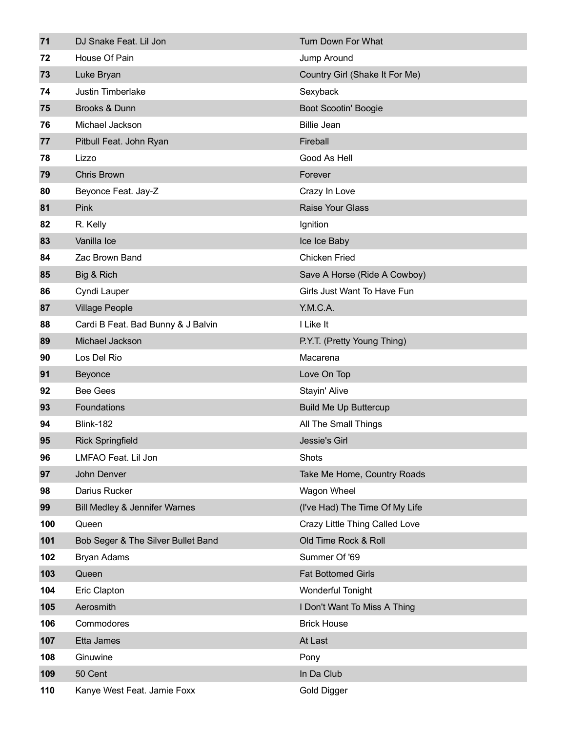| 71  | DJ Snake Feat. Lil Jon                   | <b>Turn Down For What</b>      |
|-----|------------------------------------------|--------------------------------|
| 72  | House Of Pain                            | Jump Around                    |
| 73  | Luke Bryan                               | Country Girl (Shake It For Me) |
| 74  | Justin Timberlake                        | Sexyback                       |
| 75  | Brooks & Dunn                            | Boot Scootin' Boogie           |
| 76  | Michael Jackson                          | <b>Billie Jean</b>             |
| 77  | Pitbull Feat. John Ryan                  | Fireball                       |
| 78  | Lizzo                                    | Good As Hell                   |
| 79  | <b>Chris Brown</b>                       | Forever                        |
| 80  | Beyonce Feat. Jay-Z                      | Crazy In Love                  |
| 81  | Pink                                     | <b>Raise Your Glass</b>        |
| 82  | R. Kelly                                 | Ignition                       |
| 83  | Vanilla Ice                              | Ice Ice Baby                   |
| 84  | Zac Brown Band                           | <b>Chicken Fried</b>           |
| 85  | Big & Rich                               | Save A Horse (Ride A Cowboy)   |
| 86  | Cyndi Lauper                             | Girls Just Want To Have Fun    |
| 87  | <b>Village People</b>                    | Y.M.C.A.                       |
| 88  | Cardi B Feat. Bad Bunny & J Balvin       | I Like It                      |
| 89  | Michael Jackson                          | P.Y.T. (Pretty Young Thing)    |
| 90  | Los Del Rio                              | Macarena                       |
| 91  | Beyonce                                  | Love On Top                    |
| 92  | <b>Bee Gees</b>                          | Stayin' Alive                  |
| 93  | Foundations                              | <b>Build Me Up Buttercup</b>   |
| 94  | <b>Blink-182</b>                         | All The Small Things           |
| 95  | <b>Rick Springfield</b>                  | Jessie's Girl                  |
| 96  | LMFAO Feat. Lil Jon                      | Shots                          |
| 97  | John Denver                              | Take Me Home, Country Roads    |
| 98  | Darius Rucker                            | Wagon Wheel                    |
| 99  | <b>Bill Medley &amp; Jennifer Warnes</b> | (I've Had) The Time Of My Life |
| 100 | Queen                                    | Crazy Little Thing Called Love |
| 101 | Bob Seger & The Silver Bullet Band       | Old Time Rock & Roll           |
| 102 | <b>Bryan Adams</b>                       | Summer Of '69                  |
| 103 | Queen                                    | <b>Fat Bottomed Girls</b>      |
| 104 | Eric Clapton                             | Wonderful Tonight              |
| 105 | Aerosmith                                | I Don't Want To Miss A Thing   |
| 106 | Commodores                               | <b>Brick House</b>             |
| 107 | Etta James                               | At Last                        |
| 108 | Ginuwine                                 | Pony                           |
| 109 | 50 Cent                                  | In Da Club                     |
| 110 | Kanye West Feat. Jamie Foxx              | Gold Digger                    |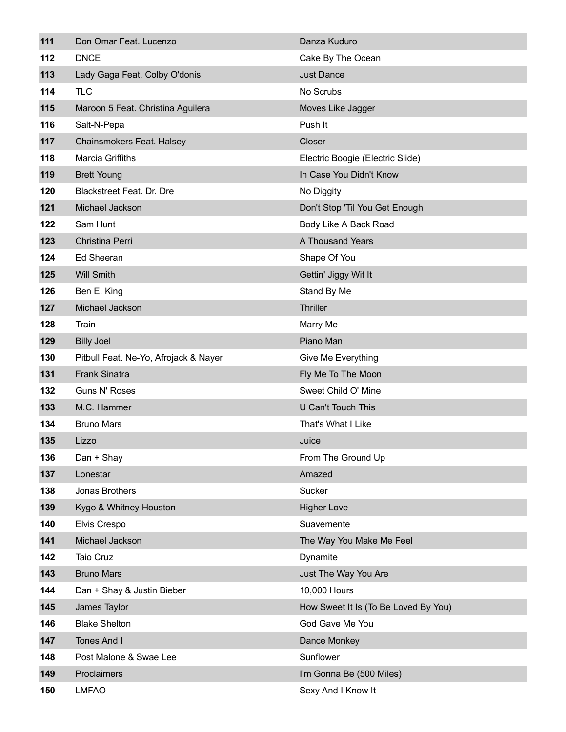| 111 | Don Omar Feat. Lucenzo                | Danza Kuduro                         |
|-----|---------------------------------------|--------------------------------------|
| 112 | <b>DNCE</b>                           | Cake By The Ocean                    |
| 113 | Lady Gaga Feat. Colby O'donis         | <b>Just Dance</b>                    |
| 114 | <b>TLC</b>                            | No Scrubs                            |
| 115 | Maroon 5 Feat. Christina Aguilera     | Moves Like Jagger                    |
| 116 | Salt-N-Pepa                           | Push It                              |
| 117 | Chainsmokers Feat. Halsey             | Closer                               |
| 118 | <b>Marcia Griffiths</b>               | Electric Boogie (Electric Slide)     |
| 119 | <b>Brett Young</b>                    | In Case You Didn't Know              |
| 120 | <b>Blackstreet Feat. Dr. Dre</b>      | No Diggity                           |
| 121 | Michael Jackson                       | Don't Stop 'Til You Get Enough       |
| 122 | Sam Hunt                              | Body Like A Back Road                |
| 123 | Christina Perri                       | A Thousand Years                     |
| 124 | Ed Sheeran                            | Shape Of You                         |
| 125 | <b>Will Smith</b>                     | Gettin' Jiggy Wit It                 |
| 126 | Ben E. King                           | Stand By Me                          |
| 127 | Michael Jackson                       | Thriller                             |
| 128 | Train                                 | Marry Me                             |
| 129 | <b>Billy Joel</b>                     | Piano Man                            |
| 130 | Pitbull Feat. Ne-Yo, Afrojack & Nayer | Give Me Everything                   |
| 131 | <b>Frank Sinatra</b>                  | Fly Me To The Moon                   |
| 132 | <b>Guns N' Roses</b>                  | Sweet Child O' Mine                  |
| 133 | M.C. Hammer                           | <b>U Can't Touch This</b>            |
| 134 | <b>Bruno Mars</b>                     | That's What I Like                   |
| 135 | Lizzo                                 | Juice                                |
| 136 | Dan + Shay                            | From The Ground Up                   |
| 137 | Lonestar                              | Amazed                               |
| 138 | Jonas Brothers                        | Sucker                               |
| 139 | Kygo & Whitney Houston                | <b>Higher Love</b>                   |
| 140 | Elvis Crespo                          | Suavemente                           |
| 141 | Michael Jackson                       | The Way You Make Me Feel             |
| 142 | Taio Cruz                             | Dynamite                             |
| 143 | <b>Bruno Mars</b>                     | Just The Way You Are                 |
| 144 | Dan + Shay & Justin Bieber            | 10,000 Hours                         |
| 145 | James Taylor                          | How Sweet It Is (To Be Loved By You) |
| 146 | <b>Blake Shelton</b>                  | God Gave Me You                      |
| 147 | Tones And I                           | Dance Monkey                         |
| 148 | Post Malone & Swae Lee                | Sunflower                            |
| 149 | Proclaimers                           | I'm Gonna Be (500 Miles)             |
| 150 | <b>LMFAO</b>                          | Sexy And I Know It                   |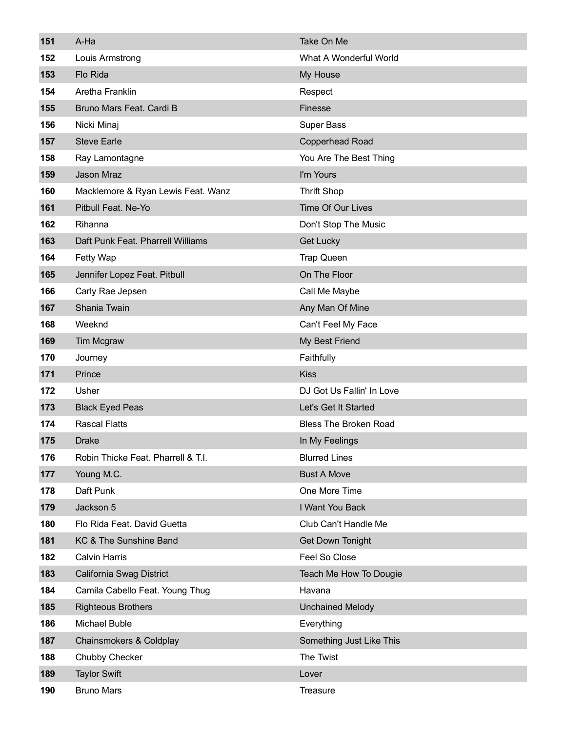| 151 | A-Ha                               | Take On Me                   |
|-----|------------------------------------|------------------------------|
| 152 | Louis Armstrong                    | What A Wonderful World       |
| 153 | Flo Rida                           | My House                     |
| 154 | Aretha Franklin                    | Respect                      |
| 155 | Bruno Mars Feat. Cardi B           | Finesse                      |
| 156 | Nicki Minaj                        | Super Bass                   |
| 157 | <b>Steve Earle</b>                 | Copperhead Road              |
| 158 | Ray Lamontagne                     | You Are The Best Thing       |
| 159 | Jason Mraz                         | I'm Yours                    |
| 160 | Macklemore & Ryan Lewis Feat. Wanz | <b>Thrift Shop</b>           |
| 161 | Pitbull Feat. Ne-Yo                | Time Of Our Lives            |
| 162 | Rihanna                            | Don't Stop The Music         |
| 163 | Daft Punk Feat. Pharrell Williams  | Get Lucky                    |
| 164 | Fetty Wap                          | <b>Trap Queen</b>            |
| 165 | Jennifer Lopez Feat. Pitbull       | On The Floor                 |
| 166 | Carly Rae Jepsen                   | Call Me Maybe                |
| 167 | Shania Twain                       | Any Man Of Mine              |
| 168 | Weeknd                             | Can't Feel My Face           |
| 169 | Tim Mcgraw                         | My Best Friend               |
| 170 | Journey                            | Faithfully                   |
|     |                                    |                              |
| 171 | Prince                             | <b>Kiss</b>                  |
| 172 | Usher                              | DJ Got Us Fallin' In Love    |
| 173 | <b>Black Eyed Peas</b>             | Let's Get It Started         |
| 174 | <b>Rascal Flatts</b>               | <b>Bless The Broken Road</b> |
| 175 | <b>Drake</b>                       | In My Feelings               |
| 176 | Robin Thicke Feat. Pharrell & T.I. | <b>Blurred Lines</b>         |
| 177 | Young M.C.                         | <b>Bust A Move</b>           |
| 178 | Daft Punk                          | One More Time                |
| 179 | Jackson 5                          | I Want You Back              |
| 180 | Flo Rida Feat. David Guetta        | Club Can't Handle Me         |
| 181 | KC & The Sunshine Band             | Get Down Tonight             |
| 182 | <b>Calvin Harris</b>               | Feel So Close                |
| 183 | California Swag District           | Teach Me How To Dougie       |
| 184 | Camila Cabello Feat. Young Thug    | Havana                       |
| 185 | <b>Righteous Brothers</b>          | <b>Unchained Melody</b>      |
| 186 | <b>Michael Buble</b>               | Everything                   |
| 187 | Chainsmokers & Coldplay            | Something Just Like This     |
| 188 | Chubby Checker                     | The Twist                    |
| 189 | <b>Taylor Swift</b>                | Lover                        |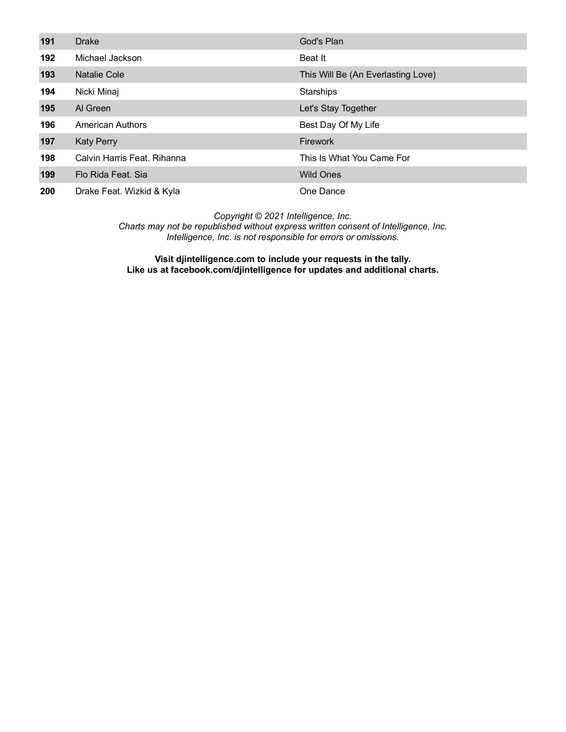| 191 | <b>Drake</b>                | God's Plan                         |
|-----|-----------------------------|------------------------------------|
| 192 | Michael Jackson             | <b>Beat It</b>                     |
| 193 | <b>Natalie Cole</b>         | This Will Be (An Everlasting Love) |
| 194 | Nicki Minaj                 | Starships                          |
| 195 | Al Green                    | Let's Stay Together                |
| 196 | <b>American Authors</b>     | Best Day Of My Life                |
| 197 | <b>Katy Perry</b>           | <b>Firework</b>                    |
| 198 | Calvin Harris Feat, Rihanna | This Is What You Came For          |
| 199 | Flo Rida Feat, Sia          | <b>Wild Ones</b>                   |
| 200 | Drake Feat. Wizkid & Kyla   | One Dance                          |

*Copyright © 2021 Intelligence, Inc. Charts may not be republished without express written consent of Intelligence, Inc. Intelligence, Inc. is not responsible for errors or omissions.*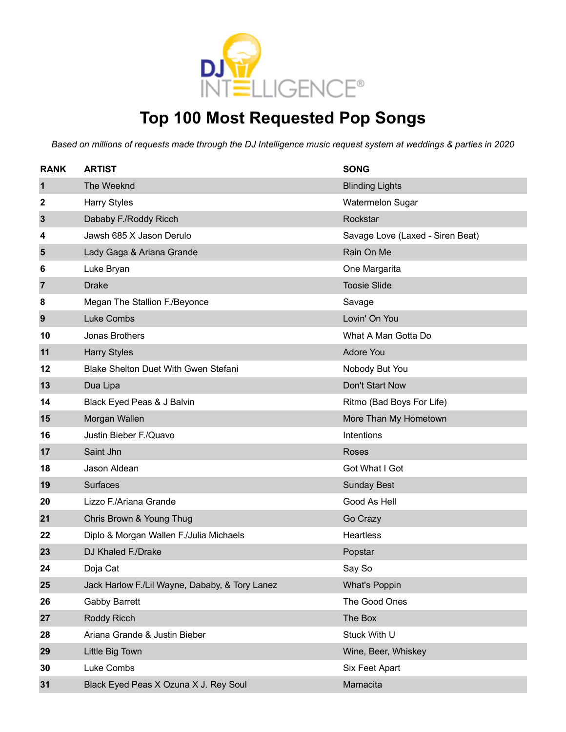

### **Top 100 Most Requested Pop Songs**

| <b>RANK</b> | <b>ARTIST</b>                                  | <b>SONG</b>                      |
|-------------|------------------------------------------------|----------------------------------|
| $\mathbf 1$ | The Weeknd                                     | <b>Blinding Lights</b>           |
| 2           | <b>Harry Styles</b>                            | <b>Watermelon Sugar</b>          |
| 3           | Dababy F./Roddy Ricch                          | Rockstar                         |
| 4           | Jawsh 685 X Jason Derulo                       | Savage Love (Laxed - Siren Beat) |
| 5           | Lady Gaga & Ariana Grande                      | Rain On Me                       |
| 6           | Luke Bryan                                     | One Margarita                    |
| 7           | <b>Drake</b>                                   | <b>Toosie Slide</b>              |
| 8           | Megan The Stallion F./Beyonce                  | Savage                           |
| 9           | Luke Combs                                     | Lovin' On You                    |
| 10          | Jonas Brothers                                 | What A Man Gotta Do              |
| 11          | <b>Harry Styles</b>                            | Adore You                        |
| 12          | <b>Blake Shelton Duet With Gwen Stefani</b>    | Nobody But You                   |
| 13          | Dua Lipa                                       | Don't Start Now                  |
| 14          | Black Eyed Peas & J Balvin                     | Ritmo (Bad Boys For Life)        |
| 15          | Morgan Wallen                                  | More Than My Hometown            |
| 16          | Justin Bieber F./Quavo                         | Intentions                       |
| 17          | Saint Jhn                                      | <b>Roses</b>                     |
| 18          | Jason Aldean                                   | Got What I Got                   |
| 19          | <b>Surfaces</b>                                | <b>Sunday Best</b>               |
| 20          | Lizzo F./Ariana Grande                         | Good As Hell                     |
| 21          | Chris Brown & Young Thug                       | Go Crazy                         |
| 22          | Diplo & Morgan Wallen F./Julia Michaels        | <b>Heartless</b>                 |
| 23          | DJ Khaled F./Drake                             | Popstar                          |
| 24          | Doja Cat                                       | Say So                           |
| 25          | Jack Harlow F./Lil Wayne, Dababy, & Tory Lanez | <b>What's Poppin</b>             |
| 26          | <b>Gabby Barrett</b>                           | The Good Ones                    |
| 27          | Roddy Ricch                                    | The Box                          |
| 28          | Ariana Grande & Justin Bieber                  | Stuck With U                     |
| 29          | Little Big Town                                | Wine, Beer, Whiskey              |
| 30          | Luke Combs                                     | Six Feet Apart                   |
| 31          | Black Eyed Peas X Ozuna X J. Rey Soul          | Mamacita                         |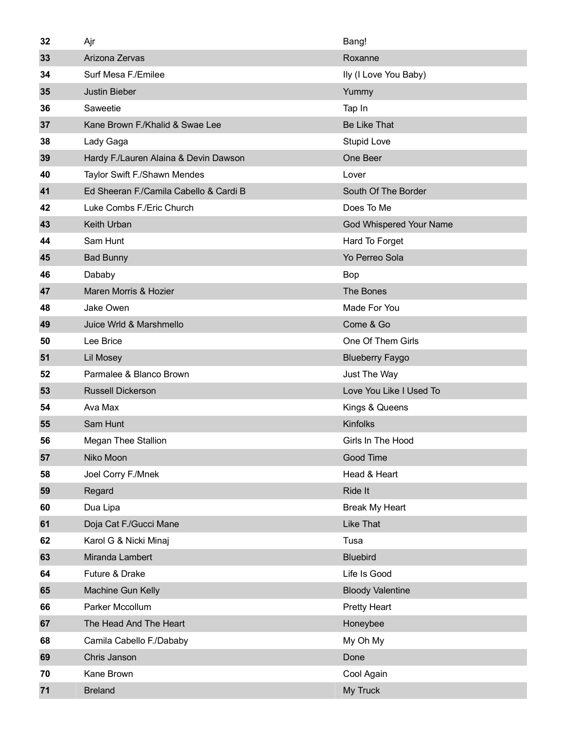| 32 | Ajr                                    | Bang!                   |
|----|----------------------------------------|-------------------------|
| 33 | Arizona Zervas                         | Roxanne                 |
| 34 | Surf Mesa F./Emilee                    | Ily (I Love You Baby)   |
| 35 | <b>Justin Bieber</b>                   | Yummy                   |
| 36 | Saweetie                               | Tap In                  |
| 37 | Kane Brown F./Khalid & Swae Lee        | <b>Be Like That</b>     |
| 38 | Lady Gaga                              | <b>Stupid Love</b>      |
| 39 | Hardy F./Lauren Alaina & Devin Dawson  | One Beer                |
| 40 | Taylor Swift F./Shawn Mendes           | Lover                   |
| 41 | Ed Sheeran F./Camila Cabello & Cardi B | South Of The Border     |
| 42 | Luke Combs F./Eric Church              | Does To Me              |
| 43 | Keith Urban                            | God Whispered Your Name |
| 44 | Sam Hunt                               | Hard To Forget          |
| 45 | <b>Bad Bunny</b>                       | Yo Perreo Sola          |
| 46 | Dababy                                 | Bop                     |
| 47 | Maren Morris & Hozier                  | The Bones               |
| 48 | Jake Owen                              | Made For You            |
| 49 | Juice Wrld & Marshmello                | Come & Go               |
| 50 | Lee Brice                              | One Of Them Girls       |
| 51 | <b>Lil Mosey</b>                       | <b>Blueberry Faygo</b>  |
| 52 | Parmalee & Blanco Brown                | Just The Way            |
| 53 | <b>Russell Dickerson</b>               | Love You Like I Used To |
| 54 | Ava Max                                | Kings & Queens          |
| 55 | Sam Hunt                               | Kinfolks                |
| 56 | <b>Megan Thee Stallion</b>             | Girls In The Hood       |
| 57 | Niko Moon                              | Good Time               |
| 58 | Joel Corry F./Mnek                     | Head & Heart            |
| 59 | Regard                                 | Ride It                 |
| 60 | Dua Lipa                               | <b>Break My Heart</b>   |
| 61 | Doja Cat F./Gucci Mane                 | Like That               |
| 62 | Karol G & Nicki Minaj                  | Tusa                    |
| 63 | Miranda Lambert                        | <b>Bluebird</b>         |
| 64 | Future & Drake                         | Life Is Good            |
| 65 | Machine Gun Kelly                      | <b>Bloody Valentine</b> |
| 66 | Parker Mccollum                        | <b>Pretty Heart</b>     |
| 67 | The Head And The Heart                 | Honeybee                |
| 68 | Camila Cabello F./Dababy               | My Oh My                |
| 69 | Chris Janson                           | Done                    |
| 70 | Kane Brown                             | Cool Again              |
| 71 | <b>Breland</b>                         | My Truck                |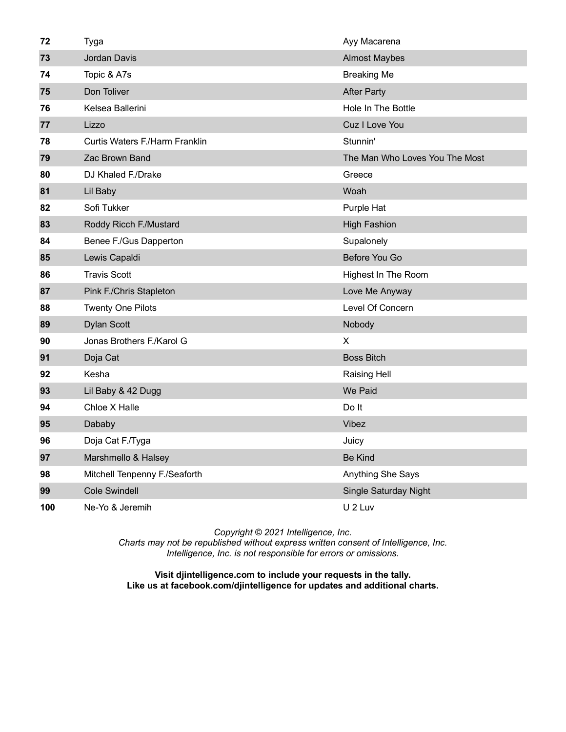| 72  | Tyga                           | Ayy Macarena                   |
|-----|--------------------------------|--------------------------------|
| 73  | Jordan Davis                   | <b>Almost Maybes</b>           |
| 74  | Topic & A7s                    | <b>Breaking Me</b>             |
| 75  | Don Toliver                    | <b>After Party</b>             |
| 76  | Kelsea Ballerini               | Hole In The Bottle             |
| 77  | Lizzo                          | Cuz I Love You                 |
| 78  | Curtis Waters F./Harm Franklin | Stunnin'                       |
| 79  | Zac Brown Band                 | The Man Who Loves You The Most |
| 80  | DJ Khaled F./Drake             | Greece                         |
| 81  | Lil Baby                       | Woah                           |
| 82  | Sofi Tukker                    | Purple Hat                     |
| 83  | Roddy Ricch F./Mustard         | <b>High Fashion</b>            |
| 84  | Benee F./Gus Dapperton         | Supalonely                     |
| 85  | Lewis Capaldi                  | Before You Go                  |
| 86  | <b>Travis Scott</b>            | Highest In The Room            |
| 87  | Pink F./Chris Stapleton        | Love Me Anyway                 |
| 88  | <b>Twenty One Pilots</b>       | Level Of Concern               |
| 89  | <b>Dylan Scott</b>             | Nobody                         |
| 90  | Jonas Brothers F./Karol G      | х                              |
| 91  | Doja Cat                       | <b>Boss Bitch</b>              |
| 92  | Kesha                          | <b>Raising Hell</b>            |
| 93  | Lil Baby & 42 Dugg             | We Paid                        |
| 94  | Chloe X Halle                  | Do It                          |
| 95  | Dababy                         | Vibez                          |
| 96  | Doja Cat F./Tyga               | Juicy                          |
| 97  | Marshmello & Halsey            | <b>Be Kind</b>                 |
| 98  | Mitchell Tenpenny F./Seaforth  | Anything She Says              |
| 99  | <b>Cole Swindell</b>           | Single Saturday Night          |
| 100 | Ne-Yo & Jeremih                | U 2 Luv                        |

*Charts may not be republished without express written consent of Intelligence, Inc. Intelligence, Inc. is not responsible for errors or omissions.*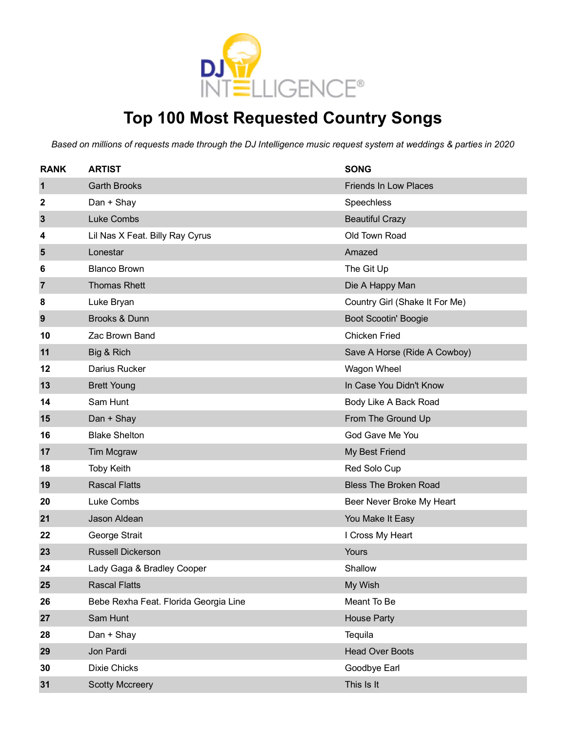

#### **Top 100 Most Requested Country Songs**

| <b>RANK</b>    | <b>ARTIST</b>                         | <b>SONG</b>                    |
|----------------|---------------------------------------|--------------------------------|
| $\mathbf 1$    | <b>Garth Brooks</b>                   | <b>Friends In Low Places</b>   |
| 2              | Dan + Shay                            | Speechless                     |
| 3              | Luke Combs                            | <b>Beautiful Crazy</b>         |
| 4              | Lil Nas X Feat. Billy Ray Cyrus       | Old Town Road                  |
| 5              | Lonestar                              | Amazed                         |
| 6              | <b>Blanco Brown</b>                   | The Git Up                     |
| $\overline{7}$ | <b>Thomas Rhett</b>                   | Die A Happy Man                |
| 8              | Luke Bryan                            | Country Girl (Shake It For Me) |
| 9              | Brooks & Dunn                         | <b>Boot Scootin' Boogie</b>    |
| 10             | Zac Brown Band                        | <b>Chicken Fried</b>           |
| 11             | Big & Rich                            | Save A Horse (Ride A Cowboy)   |
| 12             | Darius Rucker                         | Wagon Wheel                    |
| 13             | <b>Brett Young</b>                    | In Case You Didn't Know        |
| 14             | Sam Hunt                              | Body Like A Back Road          |
| 15             | Dan + Shay                            | From The Ground Up             |
| 16             | <b>Blake Shelton</b>                  | God Gave Me You                |
| 17             | Tim Mcgraw                            | My Best Friend                 |
| 18             | <b>Toby Keith</b>                     | Red Solo Cup                   |
| 19             | <b>Rascal Flatts</b>                  | <b>Bless The Broken Road</b>   |
| 20             | Luke Combs                            | Beer Never Broke My Heart      |
| 21             | Jason Aldean                          | You Make It Easy               |
| 22             | George Strait                         | I Cross My Heart               |
| 23             | <b>Russell Dickerson</b>              | Yours                          |
| 24             | Lady Gaga & Bradley Cooper            | Shallow                        |
| 25             | <b>Rascal Flatts</b>                  | My Wish                        |
| 26             | Bebe Rexha Feat. Florida Georgia Line | Meant To Be                    |
| 27             | Sam Hunt                              | <b>House Party</b>             |
| 28             | Dan + Shay                            | Tequila                        |
| 29             | Jon Pardi                             | <b>Head Over Boots</b>         |
| 30             | <b>Dixie Chicks</b>                   | Goodbye Earl                   |
| 31             | <b>Scotty Mccreery</b>                | This Is It                     |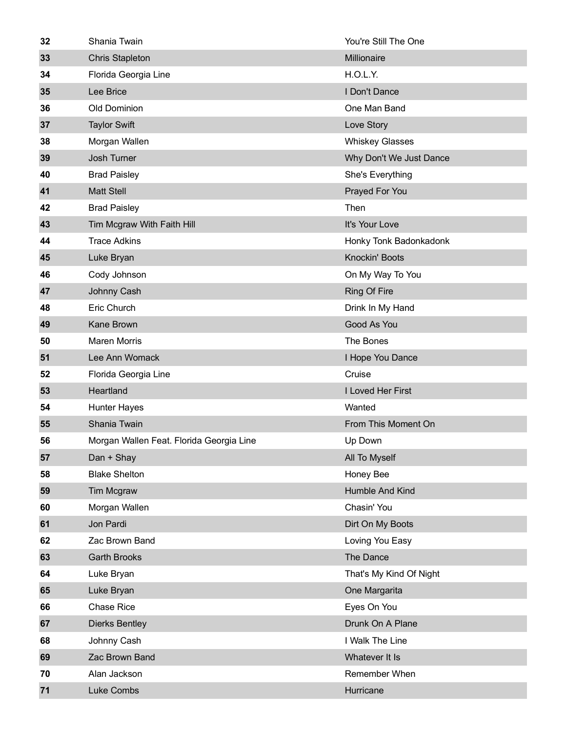| 32 | Shania Twain                             | You're Still The One    |
|----|------------------------------------------|-------------------------|
| 33 | <b>Chris Stapleton</b>                   | Millionaire             |
| 34 | Florida Georgia Line                     | H.O.L.Y.                |
| 35 | Lee Brice                                | I Don't Dance           |
| 36 | Old Dominion                             | One Man Band            |
| 37 | <b>Taylor Swift</b>                      | Love Story              |
| 38 | Morgan Wallen                            | <b>Whiskey Glasses</b>  |
| 39 | Josh Turner                              | Why Don't We Just Dance |
| 40 | <b>Brad Paisley</b>                      | She's Everything        |
| 41 | <b>Matt Stell</b>                        | Prayed For You          |
| 42 | <b>Brad Paisley</b>                      | Then                    |
| 43 | Tim Mcgraw With Faith Hill               | It's Your Love          |
| 44 | <b>Trace Adkins</b>                      | Honky Tonk Badonkadonk  |
| 45 | Luke Bryan                               | Knockin' Boots          |
| 46 | Cody Johnson                             | On My Way To You        |
| 47 | Johnny Cash                              | <b>Ring Of Fire</b>     |
| 48 | Eric Church                              | Drink In My Hand        |
| 49 | <b>Kane Brown</b>                        | Good As You             |
| 50 | <b>Maren Morris</b>                      | The Bones               |
| 51 | Lee Ann Womack                           | I Hope You Dance        |
| 52 | Florida Georgia Line                     | Cruise                  |
| 53 | Heartland                                | I Loved Her First       |
| 54 | Hunter Hayes                             | Wanted                  |
| 55 | Shania Twain                             | From This Moment On     |
| 56 | Morgan Wallen Feat. Florida Georgia Line | Up Down                 |
| 57 | Dan + Shay                               | All To Myself           |
| 58 | <b>Blake Shelton</b>                     | Honey Bee               |
| 59 | <b>Tim Mcgraw</b>                        | Humble And Kind         |
| 60 | Morgan Wallen                            | Chasin' You             |
| 61 | Jon Pardi                                | Dirt On My Boots        |
| 62 | Zac Brown Band                           | Loving You Easy         |
| 63 | <b>Garth Brooks</b>                      | The Dance               |
| 64 | Luke Bryan                               | That's My Kind Of Night |
| 65 | Luke Bryan                               | One Margarita           |
| 66 | Chase Rice                               | Eyes On You             |
| 67 | <b>Dierks Bentley</b>                    | Drunk On A Plane        |
| 68 | Johnny Cash                              | I Walk The Line         |
| 69 | Zac Brown Band                           | Whatever It Is          |
| 70 | Alan Jackson                             | Remember When           |
| 71 | Luke Combs                               | Hurricane               |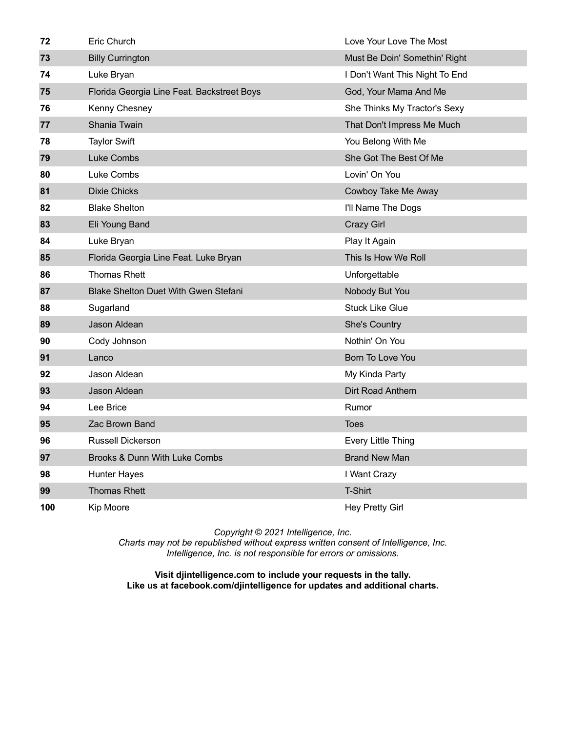| 72  | Eric Church                                 | Love Your Love The Most        |
|-----|---------------------------------------------|--------------------------------|
| 73  | <b>Billy Currington</b>                     | Must Be Doin' Somethin' Right  |
| 74  | Luke Bryan                                  | I Don't Want This Night To End |
| 75  | Florida Georgia Line Feat. Backstreet Boys  | God, Your Mama And Me          |
| 76  | Kenny Chesney                               | She Thinks My Tractor's Sexy   |
| 77  | Shania Twain                                | That Don't Impress Me Much     |
| 78  | <b>Taylor Swift</b>                         | You Belong With Me             |
| 79  | Luke Combs                                  | She Got The Best Of Me         |
| 80  | Luke Combs                                  | Lovin' On You                  |
| 81  | <b>Dixie Chicks</b>                         | Cowboy Take Me Away            |
| 82  | <b>Blake Shelton</b>                        | I'll Name The Dogs             |
| 83  | Eli Young Band                              | <b>Crazy Girl</b>              |
| 84  | Luke Bryan                                  | Play It Again                  |
| 85  | Florida Georgia Line Feat. Luke Bryan       | This Is How We Roll            |
| 86  | <b>Thomas Rhett</b>                         | Unforgettable                  |
| 87  | <b>Blake Shelton Duet With Gwen Stefani</b> | Nobody But You                 |
| 88  | Sugarland                                   | <b>Stuck Like Glue</b>         |
| 89  | Jason Aldean                                | She's Country                  |
| 90  | Cody Johnson                                | Nothin' On You                 |
| 91  | Lanco                                       | Born To Love You               |
| 92  | Jason Aldean                                | My Kinda Party                 |
| 93  | Jason Aldean                                | Dirt Road Anthem               |
| 94  | Lee Brice                                   | Rumor                          |
| 95  | Zac Brown Band                              | <b>Toes</b>                    |
| 96  | <b>Russell Dickerson</b>                    | Every Little Thing             |
| 97  | Brooks & Dunn With Luke Combs               | <b>Brand New Man</b>           |
| 98  | <b>Hunter Hayes</b>                         | I Want Crazy                   |
| 99  | <b>Thomas Rhett</b>                         | T-Shirt                        |
| 100 | Kip Moore                                   | <b>Hey Pretty Girl</b>         |

*Charts may not be republished without express written consent of Intelligence, Inc. Intelligence, Inc. is not responsible for errors or omissions.*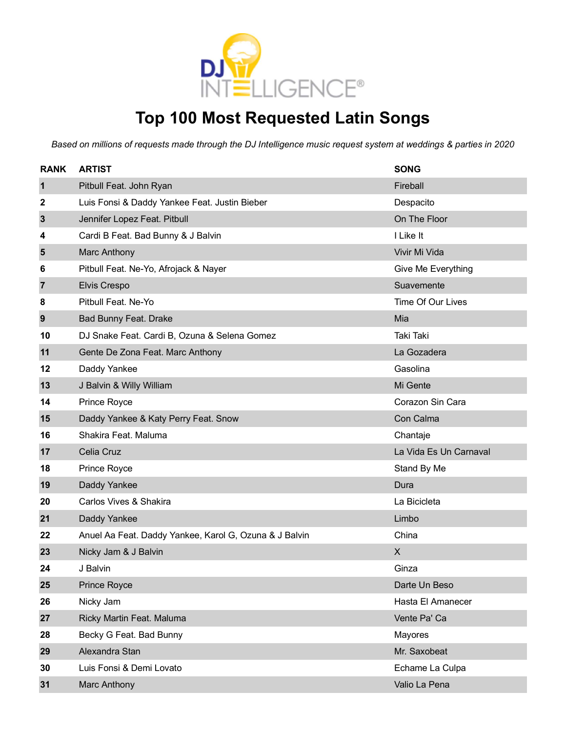

### **Top 100 Most Requested Latin Songs**

| <b>RANK</b>    | <b>ARTIST</b>                                          | <b>SONG</b>            |
|----------------|--------------------------------------------------------|------------------------|
| 1              | Pitbull Feat. John Ryan                                | Fireball               |
| 2              | Luis Fonsi & Daddy Yankee Feat. Justin Bieber          | Despacito              |
| $\mathbf{3}$   | Jennifer Lopez Feat. Pitbull                           | On The Floor           |
| 4              | Cardi B Feat. Bad Bunny & J Balvin                     | I Like It              |
| 5              | Marc Anthony                                           | Vivir Mi Vida          |
| 6              | Pitbull Feat. Ne-Yo, Afrojack & Nayer                  | Give Me Everything     |
| $\overline{7}$ | Elvis Crespo                                           | Suavemente             |
| 8              | Pitbull Feat. Ne-Yo                                    | Time Of Our Lives      |
| 9              | Bad Bunny Feat. Drake                                  | Mia                    |
| 10             | DJ Snake Feat. Cardi B, Ozuna & Selena Gomez           | Taki Taki              |
| 11             | Gente De Zona Feat. Marc Anthony                       | La Gozadera            |
| 12             | Daddy Yankee                                           | Gasolina               |
| 13             | J Balvin & Willy William                               | Mi Gente               |
| 14             | Prince Royce                                           | Corazon Sin Cara       |
| 15             | Daddy Yankee & Katy Perry Feat. Snow                   | Con Calma              |
| 16             | Shakira Feat. Maluma                                   | Chantaje               |
| 17             | Celia Cruz                                             | La Vida Es Un Carnaval |
| 18             | Prince Royce                                           | Stand By Me            |
| 19             | Daddy Yankee                                           | Dura                   |
| 20             | Carlos Vives & Shakira                                 | La Bicicleta           |
| 21             | Daddy Yankee                                           | Limbo                  |
| 22             | Anuel Aa Feat. Daddy Yankee, Karol G, Ozuna & J Balvin | China                  |
| 23             | Nicky Jam & J Balvin                                   | X                      |
| 24             | J Balvin                                               | Ginza                  |
| 25             | Prince Royce                                           | Darte Un Beso          |
| 26             | Nicky Jam                                              | Hasta El Amanecer      |
| 27             | Ricky Martin Feat. Maluma                              | Vente Pa' Ca           |
| 28             | Becky G Feat. Bad Bunny                                | Mayores                |
| 29             | Alexandra Stan                                         | Mr. Saxobeat           |
| 30             | Luis Fonsi & Demi Lovato                               | Echame La Culpa        |
| 31             | Marc Anthony                                           | Valio La Pena          |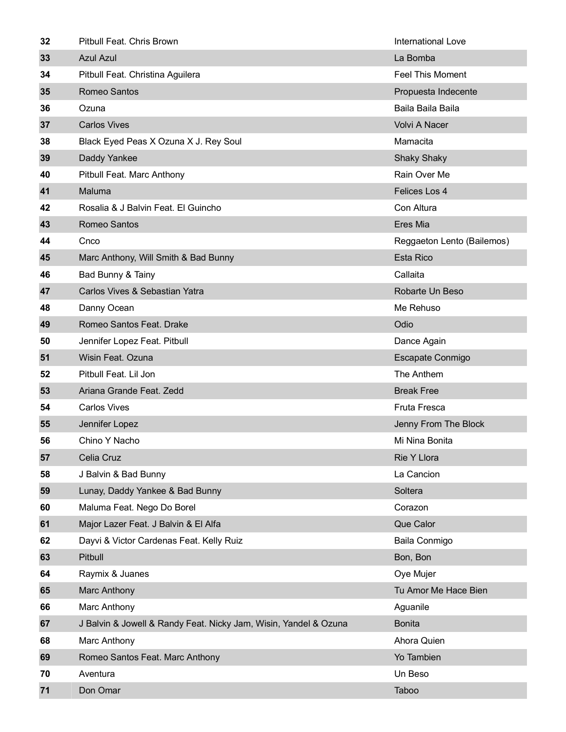| 32 | Pitbull Feat. Chris Brown                                        | International Love         |
|----|------------------------------------------------------------------|----------------------------|
| 33 | <b>Azul Azul</b>                                                 | La Bomba                   |
| 34 | Pitbull Feat. Christina Aguilera                                 | <b>Feel This Moment</b>    |
| 35 | <b>Romeo Santos</b>                                              | Propuesta Indecente        |
| 36 | Ozuna                                                            | Baila Baila Baila          |
| 37 | <b>Carlos Vives</b>                                              | Volvi A Nacer              |
| 38 | Black Eyed Peas X Ozuna X J. Rey Soul                            | Mamacita                   |
| 39 | Daddy Yankee                                                     | <b>Shaky Shaky</b>         |
| 40 | Pitbull Feat. Marc Anthony                                       | Rain Over Me               |
| 41 | Maluma                                                           | Felices Los 4              |
| 42 | Rosalia & J Balvin Feat. El Guincho                              | Con Altura                 |
| 43 | Romeo Santos                                                     | Eres Mia                   |
| 44 | Cnco                                                             | Reggaeton Lento (Bailemos) |
| 45 | Marc Anthony, Will Smith & Bad Bunny                             | <b>Esta Rico</b>           |
| 46 | Bad Bunny & Tainy                                                | Callaita                   |
| 47 | Carlos Vives & Sebastian Yatra                                   | Robarte Un Beso            |
| 48 | Danny Ocean                                                      | Me Rehuso                  |
| 49 | Romeo Santos Feat. Drake                                         | Odio                       |
| 50 | Jennifer Lopez Feat. Pitbull                                     | Dance Again                |
| 51 | Wisin Feat. Ozuna                                                | Escapate Conmigo           |
| 52 | Pitbull Feat. Lil Jon                                            | The Anthem                 |
| 53 | Ariana Grande Feat. Zedd                                         | <b>Break Free</b>          |
| 54 | <b>Carlos Vives</b>                                              | <b>Fruta Fresca</b>        |
| 55 | Jennifer Lopez                                                   | Jenny From The Block       |
| 56 | Chino Y Nacho                                                    | Mi Nina Bonita             |
| 57 | Celia Cruz                                                       | Rie Y Llora                |
| 58 | J Balvin & Bad Bunny                                             | La Cancion                 |
| 59 | Lunay, Daddy Yankee & Bad Bunny                                  | Soltera                    |
| 60 | Maluma Feat. Nego Do Borel                                       | Corazon                    |
| 61 | Major Lazer Feat. J Balvin & El Alfa                             | Que Calor                  |
| 62 | Dayvi & Victor Cardenas Feat. Kelly Ruiz                         | Baila Conmigo              |
| 63 | Pitbull                                                          | Bon, Bon                   |
| 64 | Raymix & Juanes                                                  | Oye Mujer                  |
| 65 | Marc Anthony                                                     | Tu Amor Me Hace Bien       |
| 66 | Marc Anthony                                                     | Aguanile                   |
| 67 | J Balvin & Jowell & Randy Feat. Nicky Jam, Wisin, Yandel & Ozuna | <b>Bonita</b>              |
| 68 | Marc Anthony                                                     | Ahora Quien                |
| 69 | Romeo Santos Feat. Marc Anthony                                  | Yo Tambien                 |
| 70 | Aventura                                                         | Un Beso                    |
| 71 | Don Omar                                                         | Taboo                      |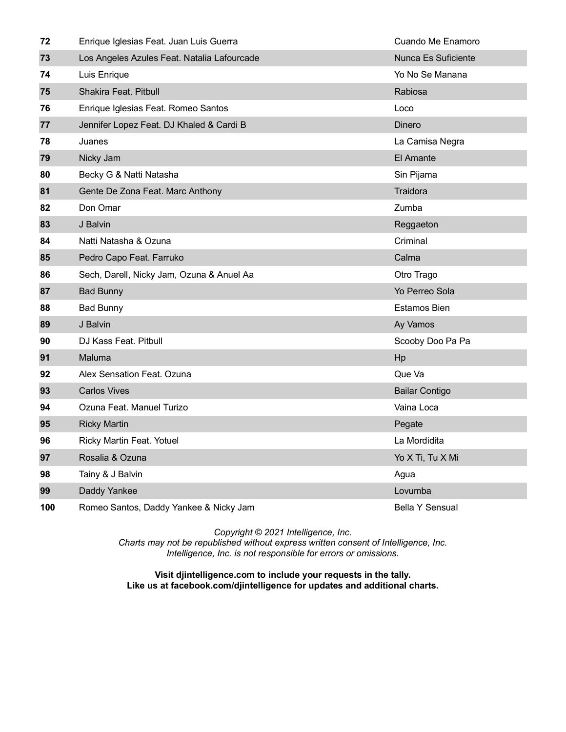| 72  | Enrique Iglesias Feat. Juan Luis Guerra     | Cuando Me Enamoro          |
|-----|---------------------------------------------|----------------------------|
| 73  | Los Angeles Azules Feat. Natalia Lafourcade | <b>Nunca Es Suficiente</b> |
| 74  | Luis Enrique                                | Yo No Se Manana            |
| 75  | Shakira Feat. Pitbull                       | Rabiosa                    |
| 76  | Enrique Iglesias Feat. Romeo Santos         | Loco                       |
| 77  | Jennifer Lopez Feat. DJ Khaled & Cardi B    | Dinero                     |
| 78  | Juanes                                      | La Camisa Negra            |
| 79  | Nicky Jam                                   | El Amante                  |
| 80  | Becky G & Natti Natasha                     | Sin Pijama                 |
| 81  | Gente De Zona Feat. Marc Anthony            | Traidora                   |
| 82  | Don Omar                                    | Zumba                      |
| 83  | J Balvin                                    | Reggaeton                  |
| 84  | Natti Natasha & Ozuna                       | Criminal                   |
| 85  | Pedro Capo Feat. Farruko                    | Calma                      |
| 86  | Sech, Darell, Nicky Jam, Ozuna & Anuel Aa   | Otro Trago                 |
| 87  | <b>Bad Bunny</b>                            | Yo Perreo Sola             |
| 88  | <b>Bad Bunny</b>                            | <b>Estamos Bien</b>        |
| 89  | J Balvin                                    | Ay Vamos                   |
| 90  | DJ Kass Feat. Pitbull                       | Scooby Doo Pa Pa           |
| 91  | Maluma                                      | Hp                         |
| 92  | Alex Sensation Feat, Ozuna                  | Que Va                     |
| 93  | <b>Carlos Vives</b>                         | <b>Bailar Contigo</b>      |
| 94  | Ozuna Feat, Manuel Turizo                   | Vaina Loca                 |
| 95  | <b>Ricky Martin</b>                         | Pegate                     |
| 96  | Ricky Martin Feat. Yotuel                   | La Mordidita               |
| 97  | Rosalia & Ozuna                             | Yo X Ti, Tu X Mi           |
| 98  | Tainy & J Balvin                            | Agua                       |
| 99  | Daddy Yankee                                | Lovumba                    |
| 100 | Romeo Santos, Daddy Yankee & Nicky Jam      | <b>Bella Y Sensual</b>     |

*Charts may not be republished without express written consent of Intelligence, Inc. Intelligence, Inc. is not responsible for errors or omissions.*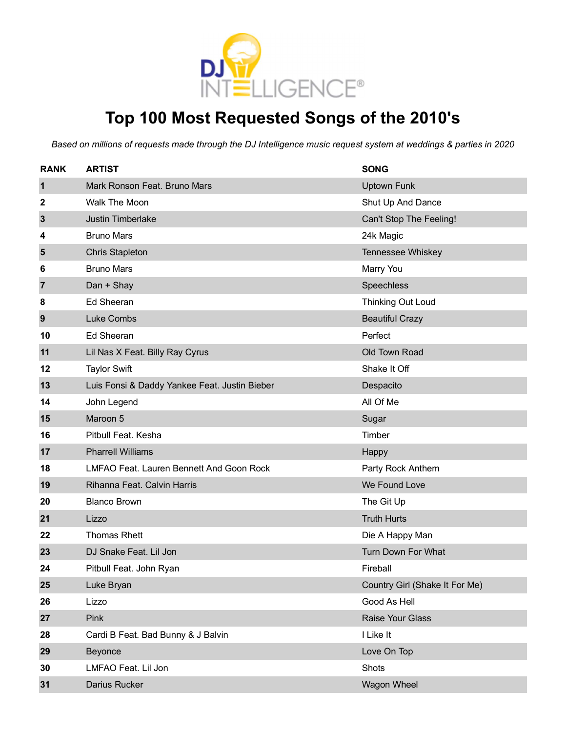

# **Top 100 Most Requested Songs of the 2010's**

| <b>RANK</b>    | <b>ARTIST</b>                                   | <b>SONG</b>                    |
|----------------|-------------------------------------------------|--------------------------------|
| $\mathbf 1$    | Mark Ronson Feat. Bruno Mars                    | <b>Uptown Funk</b>             |
| 2              | <b>Walk The Moon</b>                            | Shut Up And Dance              |
| 3              | <b>Justin Timberlake</b>                        | Can't Stop The Feeling!        |
| 4              | <b>Bruno Mars</b>                               | 24k Magic                      |
| 5              | <b>Chris Stapleton</b>                          | Tennessee Whiskey              |
| 6              | <b>Bruno Mars</b>                               | Marry You                      |
| $\overline{7}$ | Dan + Shay                                      | Speechless                     |
| 8              | <b>Ed Sheeran</b>                               | Thinking Out Loud              |
| 9              | Luke Combs                                      | <b>Beautiful Crazy</b>         |
| 10             | Ed Sheeran                                      | Perfect                        |
| 11             | Lil Nas X Feat. Billy Ray Cyrus                 | Old Town Road                  |
| 12             | <b>Taylor Swift</b>                             | Shake It Off                   |
| 13             | Luis Fonsi & Daddy Yankee Feat. Justin Bieber   | Despacito                      |
| 14             | John Legend                                     | All Of Me                      |
| 15             | Maroon 5                                        | Sugar                          |
| 16             | Pitbull Feat. Kesha                             | Timber                         |
| 17             | <b>Pharrell Williams</b>                        | Happy                          |
| 18             | <b>LMFAO Feat. Lauren Bennett And Goon Rock</b> | Party Rock Anthem              |
| 19             | Rihanna Feat. Calvin Harris                     | We Found Love                  |
| 20             | <b>Blanco Brown</b>                             | The Git Up                     |
| 21             | Lizzo                                           | <b>Truth Hurts</b>             |
| 22             | <b>Thomas Rhett</b>                             | Die A Happy Man                |
| 23             | DJ Snake Feat. Lil Jon                          | Turn Down For What             |
| 24             | Pitbull Feat. John Ryan                         | Fireball                       |
| 25             | Luke Bryan                                      | Country Girl (Shake It For Me) |
| 26             | Lizzo                                           | Good As Hell                   |
| 27             | Pink                                            | Raise Your Glass               |
| 28             | Cardi B Feat. Bad Bunny & J Balvin              | I Like It                      |
| 29             | Beyonce                                         | Love On Top                    |
| 30             | LMFAO Feat. Lil Jon                             | Shots                          |
| 31             | Darius Rucker                                   | Wagon Wheel                    |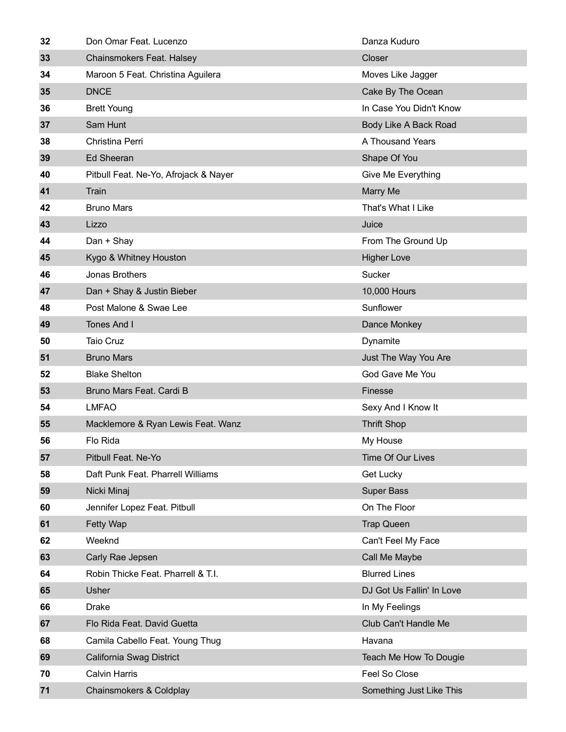| 32 | Don Omar Feat. Lucenzo                | Danza Kuduro              |
|----|---------------------------------------|---------------------------|
| 33 | Chainsmokers Feat. Halsey             | Closer                    |
| 34 | Maroon 5 Feat. Christina Aguilera     | Moves Like Jagger         |
| 35 | <b>DNCE</b>                           | Cake By The Ocean         |
| 36 | <b>Brett Young</b>                    | In Case You Didn't Know   |
| 37 | Sam Hunt                              | Body Like A Back Road     |
| 38 | Christina Perri                       | A Thousand Years          |
| 39 | <b>Ed Sheeran</b>                     | Shape Of You              |
| 40 | Pitbull Feat. Ne-Yo, Afrojack & Nayer | Give Me Everything        |
| 41 | Train                                 | Marry Me                  |
| 42 | <b>Bruno Mars</b>                     | That's What I Like        |
| 43 | Lizzo                                 | Juice                     |
| 44 | Dan + Shay                            | From The Ground Up        |
| 45 | Kygo & Whitney Houston                | <b>Higher Love</b>        |
| 46 | Jonas Brothers                        | Sucker                    |
| 47 | Dan + Shay & Justin Bieber            | 10,000 Hours              |
| 48 | Post Malone & Swae Lee                | Sunflower                 |
| 49 | Tones And I                           | Dance Monkey              |
| 50 | Taio Cruz                             | Dynamite                  |
| 51 | <b>Bruno Mars</b>                     | Just The Way You Are      |
| 52 | <b>Blake Shelton</b>                  | God Gave Me You           |
| 53 | Bruno Mars Feat. Cardi B              | Finesse                   |
| 54 | <b>LMFAO</b>                          | Sexy And I Know It        |
| 55 | Macklemore & Ryan Lewis Feat. Wanz    | <b>Thrift Shop</b>        |
| 56 | Flo Rida                              | My House                  |
| 57 | Pitbull Feat. Ne-Yo                   | Time Of Our Lives         |
| 58 | Daft Punk Feat. Pharrell Williams     | Get Lucky                 |
| 59 | Nicki Minaj                           | <b>Super Bass</b>         |
| 60 | Jennifer Lopez Feat. Pitbull          | On The Floor              |
| 61 | Fetty Wap                             | <b>Trap Queen</b>         |
| 62 | Weeknd                                | Can't Feel My Face        |
| 63 | Carly Rae Jepsen                      | Call Me Maybe             |
| 64 | Robin Thicke Feat. Pharrell & T.I.    | <b>Blurred Lines</b>      |
| 65 | <b>Usher</b>                          | DJ Got Us Fallin' In Love |
| 66 | <b>Drake</b>                          | In My Feelings            |
| 67 | Flo Rida Feat. David Guetta           | Club Can't Handle Me      |
| 68 | Camila Cabello Feat. Young Thug       | Havana                    |
| 69 | California Swag District              | Teach Me How To Dougie    |
| 70 | <b>Calvin Harris</b>                  | Feel So Close             |
| 71 | Chainsmokers & Coldplay               | Something Just Like This  |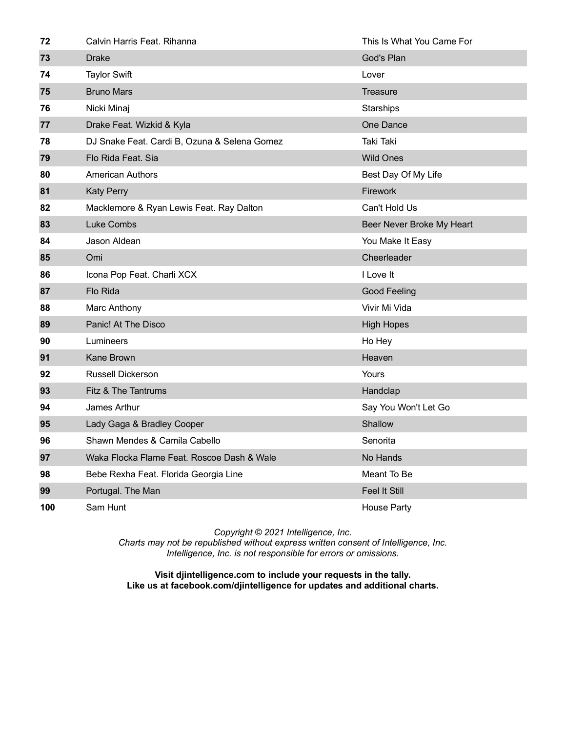| 72  | Calvin Harris Feat. Rihanna                  | This Is What You Came For |
|-----|----------------------------------------------|---------------------------|
| 73  | <b>Drake</b>                                 | God's Plan                |
| 74  | <b>Taylor Swift</b>                          | Lover                     |
| 75  | <b>Bruno Mars</b>                            | Treasure                  |
| 76  | Nicki Minaj                                  | Starships                 |
| 77  | Drake Feat. Wizkid & Kyla                    | One Dance                 |
| 78  | DJ Snake Feat. Cardi B, Ozuna & Selena Gomez | Taki Taki                 |
| 79  | Flo Rida Feat. Sia                           | <b>Wild Ones</b>          |
| 80  | <b>American Authors</b>                      | Best Day Of My Life       |
| 81  | <b>Katy Perry</b>                            | Firework                  |
| 82  | Macklemore & Ryan Lewis Feat. Ray Dalton     | Can't Hold Us             |
| 83  | <b>Luke Combs</b>                            | Beer Never Broke My Heart |
| 84  | Jason Aldean                                 | You Make It Easy          |
| 85  | Omi                                          | Cheerleader               |
| 86  | Icona Pop Feat. Charli XCX                   | I Love It                 |
| 87  | Flo Rida                                     | <b>Good Feeling</b>       |
| 88  | Marc Anthony                                 | Vivir Mi Vida             |
| 89  | Panic! At The Disco                          | <b>High Hopes</b>         |
| 90  | Lumineers                                    | Ho Hey                    |
| 91  | Kane Brown                                   | Heaven                    |
| 92  | <b>Russell Dickerson</b>                     | Yours                     |
| 93  | Fitz & The Tantrums                          | Handclap                  |
| 94  | James Arthur                                 | Say You Won't Let Go      |
| 95  | Lady Gaga & Bradley Cooper                   | Shallow                   |
| 96  | Shawn Mendes & Camila Cabello                | Senorita                  |
| 97  | Waka Flocka Flame Feat. Roscoe Dash & Wale   | No Hands                  |
| 98  | Bebe Rexha Feat. Florida Georgia Line        | Meant To Be               |
| 99  | Portugal. The Man                            | <b>Feel It Still</b>      |
| 100 | Sam Hunt                                     | <b>House Party</b>        |

*Charts may not be republished without express written consent of Intelligence, Inc. Intelligence, Inc. is not responsible for errors or omissions.*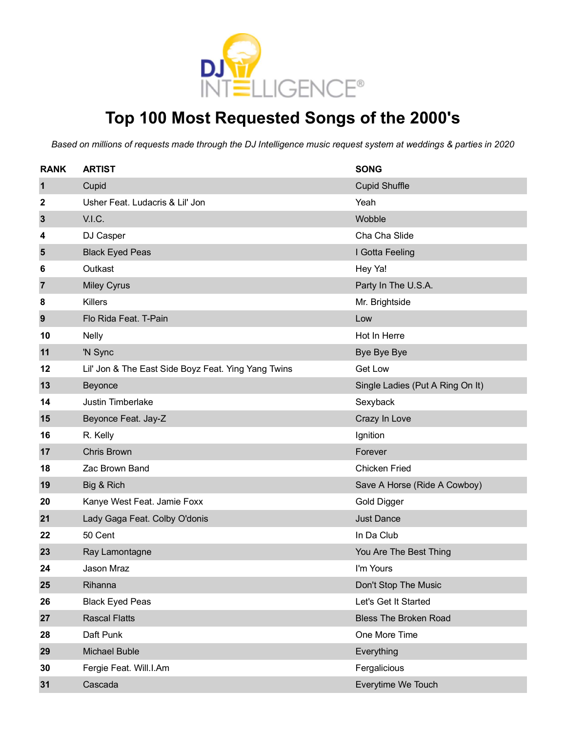

### **Top 100 Most Requested Songs of the 2000's**

| <b>RANK</b> | <b>ARTIST</b>                                       | <b>SONG</b>                      |
|-------------|-----------------------------------------------------|----------------------------------|
| $\mathbf 1$ | Cupid                                               | <b>Cupid Shuffle</b>             |
| 2           | Usher Feat. Ludacris & Lil' Jon                     | Yeah                             |
| 3           | V.I.C.                                              | Wobble                           |
| 4           | DJ Casper                                           | Cha Cha Slide                    |
| 5           | <b>Black Eyed Peas</b>                              | I Gotta Feeling                  |
| 6           | Outkast                                             | Hey Ya!                          |
| 7           | <b>Miley Cyrus</b>                                  | Party In The U.S.A.              |
| 8           | <b>Killers</b>                                      | Mr. Brightside                   |
| 9           | Flo Rida Feat. T-Pain                               | Low                              |
| 10          | <b>Nelly</b>                                        | Hot In Herre                     |
| 11          | 'N Sync                                             | Bye Bye Bye                      |
| 12          | Lil' Jon & The East Side Boyz Feat. Ying Yang Twins | Get Low                          |
| 13          | Beyonce                                             | Single Ladies (Put A Ring On It) |
| 14          | <b>Justin Timberlake</b>                            | Sexyback                         |
| 15          | Beyonce Feat. Jay-Z                                 | Crazy In Love                    |
| 16          | R. Kelly                                            | Ignition                         |
| 17          | <b>Chris Brown</b>                                  | Forever                          |
| 18          | Zac Brown Band                                      | <b>Chicken Fried</b>             |
| 19          | Big & Rich                                          | Save A Horse (Ride A Cowboy)     |
| 20          | Kanye West Feat. Jamie Foxx                         | <b>Gold Digger</b>               |
| 21          | Lady Gaga Feat. Colby O'donis                       | <b>Just Dance</b>                |
| 22          | 50 Cent                                             | In Da Club                       |
| 23          | Ray Lamontagne                                      | You Are The Best Thing           |
| 24          | <b>Jason Mraz</b>                                   | I'm Yours                        |
| 25          | Rihanna                                             | Don't Stop The Music             |
| 26          | <b>Black Eyed Peas</b>                              | Let's Get It Started             |
| 27          | <b>Rascal Flatts</b>                                | <b>Bless The Broken Road</b>     |
| 28          | Daft Punk                                           | One More Time                    |
| 29          | <b>Michael Buble</b>                                | Everything                       |
| 30          | Fergie Feat. Will.I.Am                              | Fergalicious                     |
| 31          | Cascada                                             | Everytime We Touch               |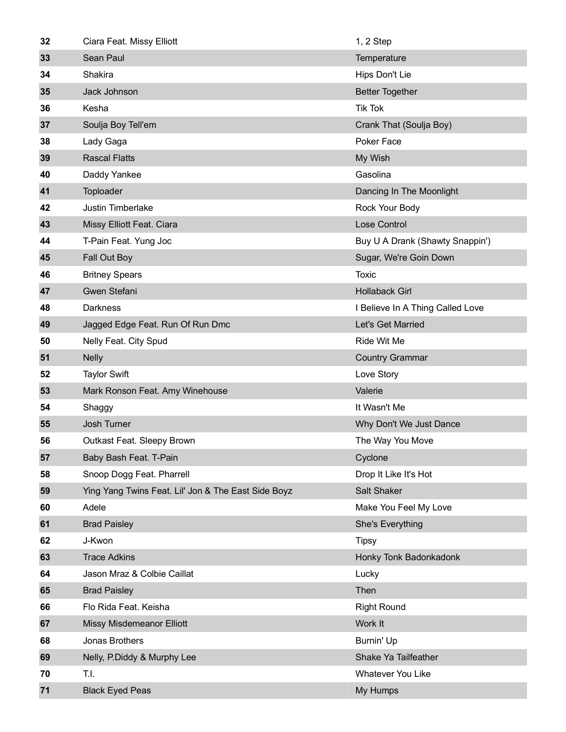| 32 | Ciara Feat. Missy Elliott                           | $1, 2$ Step                      |
|----|-----------------------------------------------------|----------------------------------|
| 33 | Sean Paul                                           | Temperature                      |
| 34 | Shakira                                             | Hips Don't Lie                   |
| 35 | Jack Johnson                                        | <b>Better Together</b>           |
| 36 | Kesha                                               | <b>Tik Tok</b>                   |
| 37 | Soulja Boy Tell'em                                  | Crank That (Soulja Boy)          |
| 38 | Lady Gaga                                           | Poker Face                       |
| 39 | <b>Rascal Flatts</b>                                | My Wish                          |
| 40 | Daddy Yankee                                        | Gasolina                         |
| 41 | Toploader                                           | Dancing In The Moonlight         |
| 42 | Justin Timberlake                                   | Rock Your Body                   |
| 43 | Missy Elliott Feat. Ciara                           | Lose Control                     |
| 44 | T-Pain Feat. Yung Joc                               | Buy U A Drank (Shawty Snappin')  |
| 45 | Fall Out Boy                                        | Sugar, We're Goin Down           |
| 46 | <b>Britney Spears</b>                               | Toxic                            |
| 47 | Gwen Stefani                                        | <b>Hollaback Girl</b>            |
| 48 | <b>Darkness</b>                                     | I Believe In A Thing Called Love |
| 49 | Jagged Edge Feat. Run Of Run Dmc                    | Let's Get Married                |
| 50 | Nelly Feat. City Spud                               | Ride Wit Me                      |
| 51 | <b>Nelly</b>                                        | <b>Country Grammar</b>           |
| 52 | <b>Taylor Swift</b>                                 | Love Story                       |
| 53 | Mark Ronson Feat. Amy Winehouse                     | Valerie                          |
| 54 | Shaggy                                              | It Wasn't Me                     |
| 55 | Josh Turner                                         | Why Don't We Just Dance          |
| 56 | Outkast Feat. Sleepy Brown                          | The Way You Move                 |
| 57 | Baby Bash Feat. T-Pain                              | Cyclone                          |
| 58 | Snoop Dogg Feat. Pharrell                           | Drop It Like It's Hot            |
| 59 | Ying Yang Twins Feat. Lil' Jon & The East Side Boyz | Salt Shaker                      |
| 60 | Adele                                               | Make You Feel My Love            |
| 61 | <b>Brad Paisley</b>                                 | She's Everything                 |
| 62 | J-Kwon                                              | <b>Tipsy</b>                     |
| 63 | <b>Trace Adkins</b>                                 | Honky Tonk Badonkadonk           |
| 64 | Jason Mraz & Colbie Caillat                         | Lucky                            |
| 65 | <b>Brad Paisley</b>                                 | Then                             |
| 66 | Flo Rida Feat. Keisha                               | <b>Right Round</b>               |
| 67 | Missy Misdemeanor Elliott                           | Work It                          |
| 68 | Jonas Brothers                                      | Burnin' Up                       |
| 69 | Nelly, P.Diddy & Murphy Lee                         | Shake Ya Tailfeather             |
| 70 | T.I.                                                | <b>Whatever You Like</b>         |
| 71 | <b>Black Eyed Peas</b>                              | My Humps                         |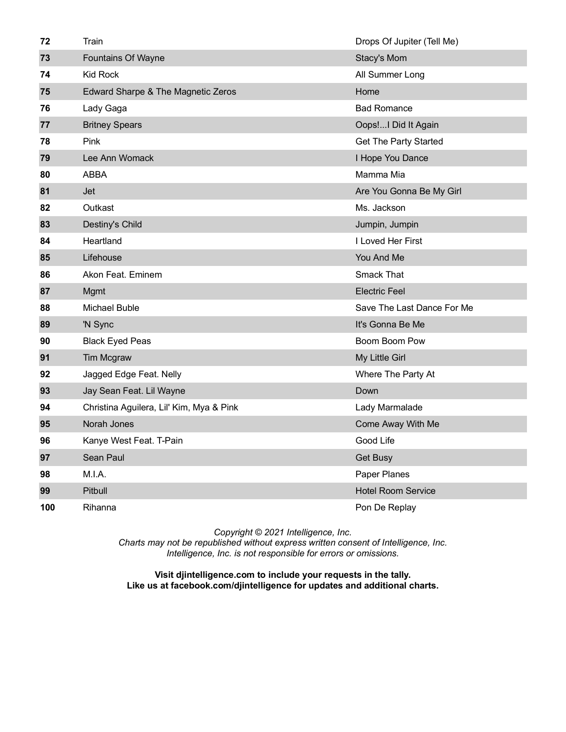| 72  | Train                                    | Drops Of Jupiter (Tell Me) |
|-----|------------------------------------------|----------------------------|
| 73  | <b>Fountains Of Wayne</b>                | Stacy's Mom                |
| 74  | <b>Kid Rock</b>                          | All Summer Long            |
| 75  | Edward Sharpe & The Magnetic Zeros       | Home                       |
| 76  | Lady Gaga                                | <b>Bad Romance</b>         |
| 77  | <b>Britney Spears</b>                    | Oops!I Did It Again        |
| 78  | Pink                                     | Get The Party Started      |
| 79  | Lee Ann Womack                           | I Hope You Dance           |
| 80  | <b>ABBA</b>                              | Mamma Mia                  |
| 81  | Jet                                      | Are You Gonna Be My Girl   |
| 82  | Outkast                                  | Ms. Jackson                |
| 83  | Destiny's Child                          | Jumpin, Jumpin             |
| 84  | Heartland                                | I Loved Her First          |
| 85  | Lifehouse                                | You And Me                 |
| 86  | Akon Feat. Eminem                        | Smack That                 |
| 87  | Mgmt                                     | <b>Electric Feel</b>       |
| 88  | Michael Buble                            | Save The Last Dance For Me |
| 89  | 'N Sync                                  | It's Gonna Be Me           |
| 90  | <b>Black Eyed Peas</b>                   | Boom Boom Pow              |
| 91  | Tim Mcgraw                               | My Little Girl             |
| 92  | Jagged Edge Feat. Nelly                  | Where The Party At         |
| 93  | Jay Sean Feat. Lil Wayne                 | Down                       |
| 94  | Christina Aguilera, Lil' Kim, Mya & Pink | Lady Marmalade             |
| 95  | Norah Jones                              | Come Away With Me          |
| 96  | Kanye West Feat. T-Pain                  | Good Life                  |
| 97  | Sean Paul                                | Get Busy                   |
| 98  | M.I.A.                                   | Paper Planes               |
| 99  | Pitbull                                  | <b>Hotel Room Service</b>  |
| 100 | Rihanna                                  | Pon De Replay              |

*Charts may not be republished without express written consent of Intelligence, Inc. Intelligence, Inc. is not responsible for errors or omissions.*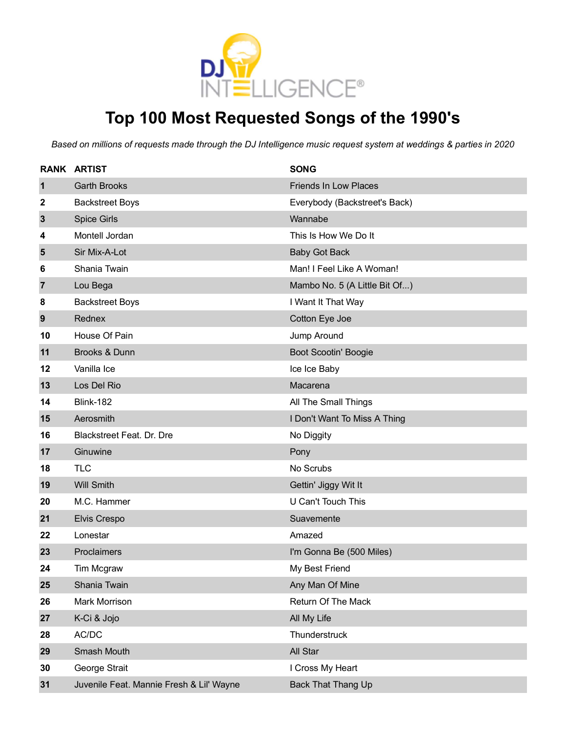

# **Top 100 Most Requested Songs of the 1990's**

|                | <b>RANK ARTIST</b>                       | <b>SONG</b>                   |
|----------------|------------------------------------------|-------------------------------|
| $\mathbf 1$    | <b>Garth Brooks</b>                      | <b>Friends In Low Places</b>  |
| 2              | <b>Backstreet Boys</b>                   | Everybody (Backstreet's Back) |
| $\mathbf{3}$   | <b>Spice Girls</b>                       | Wannabe                       |
| 4              | Montell Jordan                           | This Is How We Do It          |
| $5\phantom{1}$ | Sir Mix-A-Lot                            | <b>Baby Got Back</b>          |
| 6              | Shania Twain                             | Man! I Feel Like A Woman!     |
| $\overline{7}$ | Lou Bega                                 | Mambo No. 5 (A Little Bit Of) |
| 8              | <b>Backstreet Boys</b>                   | I Want It That Way            |
| 9              | Rednex                                   | Cotton Eye Joe                |
| 10             | House Of Pain                            | Jump Around                   |
| 11             | Brooks & Dunn                            | <b>Boot Scootin' Boogie</b>   |
| 12             | Vanilla Ice                              | Ice Ice Baby                  |
| 13             | Los Del Rio                              | Macarena                      |
| 14             | <b>Blink-182</b>                         | All The Small Things          |
| 15             | Aerosmith                                | I Don't Want To Miss A Thing  |
| 16             | <b>Blackstreet Feat. Dr. Dre</b>         | No Diggity                    |
| 17             | Ginuwine                                 | Pony                          |
| 18             | <b>TLC</b>                               | No Scrubs                     |
| 19             | <b>Will Smith</b>                        | Gettin' Jiggy Wit It          |
| 20             | M.C. Hammer                              | U Can't Touch This            |
| 21             | Elvis Crespo                             | Suavemente                    |
| 22             | Lonestar                                 | Amazed                        |
| 23             | Proclaimers                              | I'm Gonna Be (500 Miles)      |
| 24             | Tim Mcgraw                               | My Best Friend                |
| 25             | Shania Twain                             | Any Man Of Mine               |
| 26             | Mark Morrison                            | Return Of The Mack            |
| 27             | K-Ci & Jojo                              | All My Life                   |
| 28             | AC/DC                                    | Thunderstruck                 |
| 29             | Smash Mouth                              | All Star                      |
| 30             | George Strait                            | I Cross My Heart              |
| 31             | Juvenile Feat. Mannie Fresh & Lil' Wayne | Back That Thang Up            |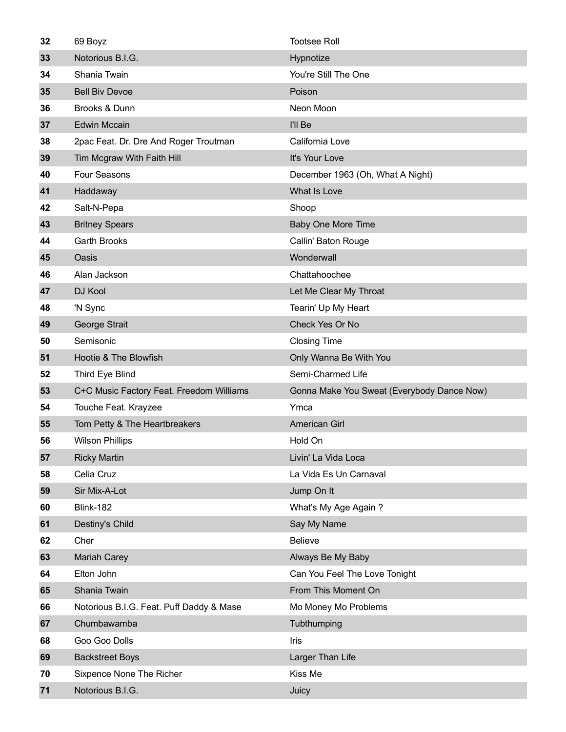| 32       | 69 Boyz                                      | <b>Tootsee Roll</b>                        |
|----------|----------------------------------------------|--------------------------------------------|
| 33       | Notorious B.I.G.                             | Hypnotize                                  |
| 34       | Shania Twain                                 | You're Still The One                       |
| 35       | <b>Bell Biv Devoe</b>                        | Poison                                     |
| 36       | Brooks & Dunn                                | Neon Moon                                  |
| 37       | <b>Edwin Mccain</b>                          | I'll Be                                    |
| 38       | 2pac Feat. Dr. Dre And Roger Troutman        | California Love                            |
| 39       | Tim Mcgraw With Faith Hill                   | It's Your Love                             |
| 40       | Four Seasons                                 | December 1963 (Oh, What A Night)           |
| 41       | Haddaway                                     | What Is Love                               |
| 42       | Salt-N-Pepa                                  | Shoop                                      |
| 43       | <b>Britney Spears</b>                        | Baby One More Time                         |
| 44       | <b>Garth Brooks</b>                          | Callin' Baton Rouge                        |
| 45       | Oasis                                        | Wonderwall                                 |
| 46       | Alan Jackson                                 | Chattahoochee                              |
| 47       | DJ Kool                                      | Let Me Clear My Throat                     |
| 48       | 'N Sync                                      | Tearin' Up My Heart                        |
| 49       | George Strait                                | Check Yes Or No                            |
| 50       | Semisonic                                    | <b>Closing Time</b>                        |
| 51       | Hootie & The Blowfish                        | Only Wanna Be With You                     |
|          |                                              |                                            |
| 52       | Third Eye Blind                              | Semi-Charmed Life                          |
| 53       | C+C Music Factory Feat. Freedom Williams     | Gonna Make You Sweat (Everybody Dance Now) |
| 54       | Touche Feat. Krayzee                         | Ymca                                       |
| 55       | Tom Petty & The Heartbreakers                | <b>American Girl</b>                       |
| 56       | <b>Wilson Phillips</b>                       | Hold On                                    |
| 57       | <b>Ricky Martin</b>                          | Livin' La Vida Loca                        |
| 58       | Celia Cruz                                   | La Vida Es Un Carnaval                     |
| 59       | Sir Mix-A-Lot                                | Jump On It                                 |
| 60       | <b>Blink-182</b>                             | What's My Age Again?                       |
| 61       | Destiny's Child                              | Say My Name                                |
| 62       | Cher                                         | <b>Believe</b>                             |
| 63       | <b>Mariah Carey</b>                          | Always Be My Baby                          |
| 64       | Elton John                                   | Can You Feel The Love Tonight              |
| 65       | Shania Twain                                 | From This Moment On                        |
| 66       | Notorious B.I.G. Feat. Puff Daddy & Mase     | Mo Money Mo Problems                       |
| 67       | Chumbawamba                                  | Tubthumping                                |
| 68       | Goo Goo Dolls                                | <b>Iris</b>                                |
| 69       | <b>Backstreet Boys</b>                       | Larger Than Life                           |
| 70<br>71 | Sixpence None The Richer<br>Notorious B.I.G. | Kiss Me<br>Juicy                           |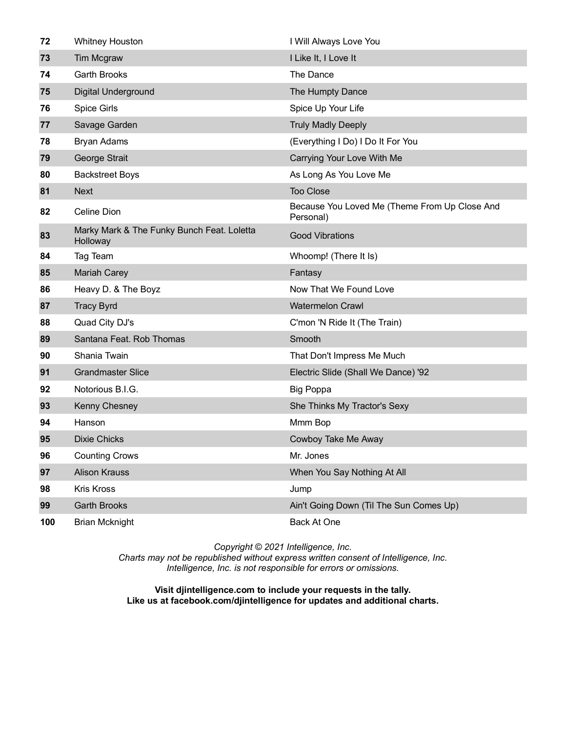| 72  | <b>Whitney Houston</b>                                 | I Will Always Love You                                     |
|-----|--------------------------------------------------------|------------------------------------------------------------|
| 73  | <b>Tim Mcgraw</b>                                      | I Like It, I Love It                                       |
| 74  | <b>Garth Brooks</b>                                    | The Dance                                                  |
| 75  | <b>Digital Underground</b>                             | The Humpty Dance                                           |
| 76  | Spice Girls                                            | Spice Up Your Life                                         |
| 77  | Savage Garden                                          | <b>Truly Madly Deeply</b>                                  |
| 78  | <b>Bryan Adams</b>                                     | (Everything I Do) I Do It For You                          |
| 79  | George Strait                                          | Carrying Your Love With Me                                 |
| 80  | <b>Backstreet Boys</b>                                 | As Long As You Love Me                                     |
| 81  | <b>Next</b>                                            | <b>Too Close</b>                                           |
| 82  | <b>Celine Dion</b>                                     | Because You Loved Me (Theme From Up Close And<br>Personal) |
| 83  | Marky Mark & The Funky Bunch Feat. Loletta<br>Holloway | <b>Good Vibrations</b>                                     |
| 84  | Tag Team                                               | Whoomp! (There It Is)                                      |
| 85  | <b>Mariah Carey</b>                                    | Fantasy                                                    |
| 86  | Heavy D. & The Boyz                                    | Now That We Found Love                                     |
| 87  | <b>Tracy Byrd</b>                                      | <b>Watermelon Crawl</b>                                    |
| 88  | Quad City DJ's                                         | C'mon 'N Ride It (The Train)                               |
| 89  | Santana Feat. Rob Thomas                               | Smooth                                                     |
| 90  | Shania Twain                                           | That Don't Impress Me Much                                 |
| 91  | <b>Grandmaster Slice</b>                               | Electric Slide (Shall We Dance) '92                        |
| 92  | Notorious B.I.G.                                       | <b>Big Poppa</b>                                           |
| 93  | Kenny Chesney                                          | She Thinks My Tractor's Sexy                               |
| 94  | Hanson                                                 | Mmm Bop                                                    |
| 95  | <b>Dixie Chicks</b>                                    | Cowboy Take Me Away                                        |
| 96  | <b>Counting Crows</b>                                  | Mr. Jones                                                  |
| 97  | <b>Alison Krauss</b>                                   | When You Say Nothing At All                                |
| 98  | Kris Kross                                             | Jump                                                       |
| 99  | <b>Garth Brooks</b>                                    | Ain't Going Down (Til The Sun Comes Up)                    |
| 100 | <b>Brian Mcknight</b>                                  | Back At One                                                |

*Copyright © 2021 Intelligence, Inc. Charts may not be republished without express written consent of Intelligence, Inc. Intelligence, Inc. is not responsible for errors or omissions.*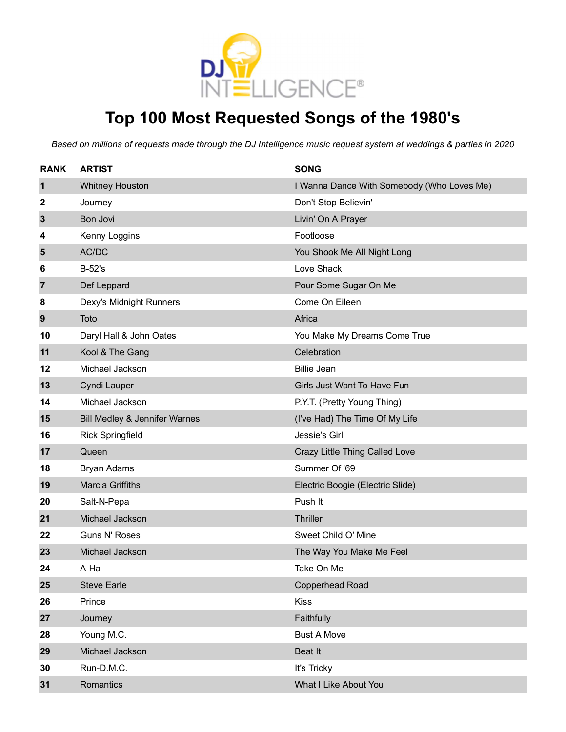

### **Top 100 Most Requested Songs of the 1980's**

| <b>RANK</b>    | <b>ARTIST</b>                 | <b>SONG</b>                                |
|----------------|-------------------------------|--------------------------------------------|
| 1              | <b>Whitney Houston</b>        | I Wanna Dance With Somebody (Who Loves Me) |
| 2              | Journey                       | Don't Stop Believin'                       |
| $\mathbf{3}$   | Bon Jovi                      | Livin' On A Prayer                         |
| 4              | Kenny Loggins                 | Footloose                                  |
| 5              | AC/DC                         | You Shook Me All Night Long                |
| 6              | $B-52's$                      | Love Shack                                 |
| $\overline{7}$ | Def Leppard                   | Pour Some Sugar On Me                      |
| 8              | Dexy's Midnight Runners       | Come On Eileen                             |
| 9              | Toto                          | Africa                                     |
| 10             | Daryl Hall & John Oates       | You Make My Dreams Come True               |
| 11             | Kool & The Gang               | Celebration                                |
| 12             | Michael Jackson               | <b>Billie Jean</b>                         |
| 13             | Cyndi Lauper                  | Girls Just Want To Have Fun                |
| 14             | Michael Jackson               | P.Y.T. (Pretty Young Thing)                |
| 15             | Bill Medley & Jennifer Warnes | (I've Had) The Time Of My Life             |
| 16             | <b>Rick Springfield</b>       | Jessie's Girl                              |
| 17             | Queen                         | Crazy Little Thing Called Love             |
| 18             | <b>Bryan Adams</b>            | Summer Of '69                              |
| 19             | <b>Marcia Griffiths</b>       | Electric Boogie (Electric Slide)           |
| 20             | Salt-N-Pepa                   | Push It                                    |
| 21             | Michael Jackson               | Thriller                                   |
| 22             | Guns N' Roses                 | Sweet Child O' Mine                        |
| 23             | Michael Jackson               | The Way You Make Me Feel                   |
| 24             | A-Ha                          | Take On Me                                 |
| 25             | <b>Steve Earle</b>            | Copperhead Road                            |
| 26             | Prince                        | <b>Kiss</b>                                |
| 27             | Journey                       | Faithfully                                 |
| 28             | Young M.C.                    | <b>Bust A Move</b>                         |
| 29             | Michael Jackson               | Beat It                                    |
| 30             | Run-D.M.C.                    | It's Tricky                                |
| 31             | Romantics                     | What I Like About You                      |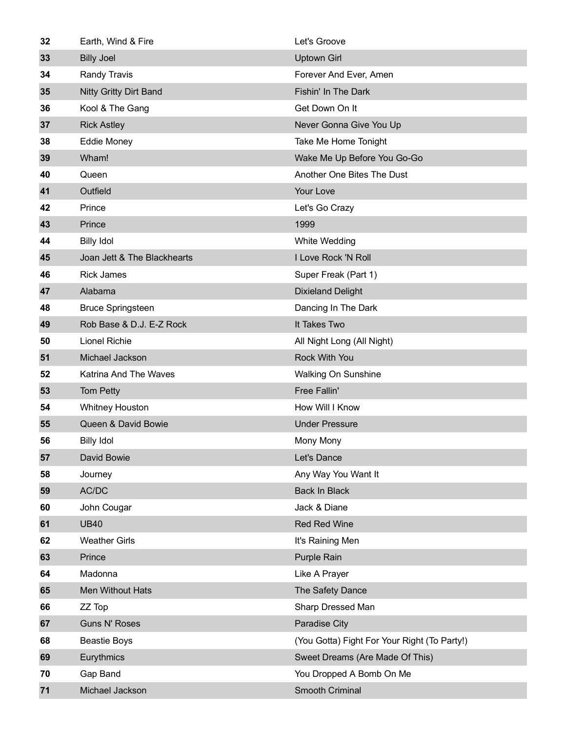| 32 | Earth, Wind & Fire            | Let's Groove                                 |
|----|-------------------------------|----------------------------------------------|
| 33 | <b>Billy Joel</b>             | <b>Uptown Girl</b>                           |
| 34 | Randy Travis                  | Forever And Ever, Amen                       |
| 35 | <b>Nitty Gritty Dirt Band</b> | Fishin' In The Dark                          |
| 36 | Kool & The Gang               | Get Down On It                               |
| 37 | <b>Rick Astley</b>            | Never Gonna Give You Up                      |
| 38 | <b>Eddie Money</b>            | Take Me Home Tonight                         |
| 39 | Wham!                         | Wake Me Up Before You Go-Go                  |
| 40 | Queen                         | Another One Bites The Dust                   |
| 41 | Outfield                      | Your Love                                    |
| 42 | Prince                        | Let's Go Crazy                               |
| 43 | Prince                        | 1999                                         |
| 44 | <b>Billy Idol</b>             | White Wedding                                |
| 45 | Joan Jett & The Blackhearts   | I Love Rock 'N Roll                          |
| 46 | <b>Rick James</b>             | Super Freak (Part 1)                         |
| 47 | Alabama                       | <b>Dixieland Delight</b>                     |
| 48 | <b>Bruce Springsteen</b>      | Dancing In The Dark                          |
| 49 | Rob Base & D.J. E-Z Rock      | It Takes Two                                 |
| 50 | <b>Lionel Richie</b>          | All Night Long (All Night)                   |
| 51 | Michael Jackson               | Rock With You                                |
| 52 | Katrina And The Waves         | <b>Walking On Sunshine</b>                   |
| 53 | Tom Petty                     | Free Fallin'                                 |
| 54 | <b>Whitney Houston</b>        | How Will I Know                              |
| 55 | Queen & David Bowie           | <b>Under Pressure</b>                        |
| 56 | <b>Billy Idol</b>             | Mony Mony                                    |
| 57 | David Bowie                   | Let's Dance                                  |
| 58 | Journey                       | Any Way You Want It                          |
| 59 | AC/DC                         | <b>Back In Black</b>                         |
| 60 | John Cougar                   | Jack & Diane                                 |
| 61 | <b>UB40</b>                   | Red Red Wine                                 |
| 62 | <b>Weather Girls</b>          | It's Raining Men                             |
| 63 | Prince                        | Purple Rain                                  |
| 64 | Madonna                       | Like A Prayer                                |
| 65 | Men Without Hats              | The Safety Dance                             |
| 66 | ZZ Top                        | Sharp Dressed Man                            |
| 67 | <b>Guns N' Roses</b>          | Paradise City                                |
| 68 | <b>Beastie Boys</b>           | (You Gotta) Fight For Your Right (To Party!) |
| 69 | Eurythmics                    | Sweet Dreams (Are Made Of This)              |
| 70 | Gap Band                      | You Dropped A Bomb On Me                     |
| 71 | Michael Jackson               | Smooth Criminal                              |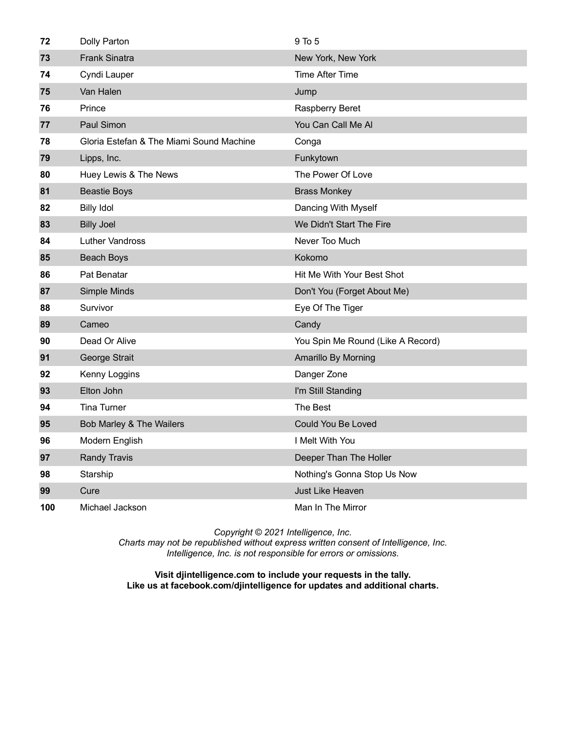| 72  | Dolly Parton                             | 9 To 5                            |
|-----|------------------------------------------|-----------------------------------|
| 73  | <b>Frank Sinatra</b>                     | New York, New York                |
| 74  | Cyndi Lauper                             | Time After Time                   |
| 75  | Van Halen                                | Jump                              |
| 76  | Prince                                   | <b>Raspberry Beret</b>            |
| 77  | Paul Simon                               | You Can Call Me Al                |
| 78  | Gloria Estefan & The Miami Sound Machine | Conga                             |
| 79  | Lipps, Inc.                              | Funkytown                         |
| 80  | Huey Lewis & The News                    | The Power Of Love                 |
| 81  | <b>Beastie Boys</b>                      | <b>Brass Monkey</b>               |
| 82  | <b>Billy Idol</b>                        | Dancing With Myself               |
| 83  | <b>Billy Joel</b>                        | We Didn't Start The Fire          |
| 84  | Luther Vandross                          | Never Too Much                    |
| 85  | <b>Beach Boys</b>                        | Kokomo                            |
| 86  | Pat Benatar                              | Hit Me With Your Best Shot        |
| 87  | Simple Minds                             | Don't You (Forget About Me)       |
| 88  | Survivor                                 | Eye Of The Tiger                  |
| 89  | Cameo                                    | Candy                             |
| 90  | Dead Or Alive                            | You Spin Me Round (Like A Record) |
| 91  | George Strait                            | Amarillo By Morning               |
| 92  | Kenny Loggins                            | Danger Zone                       |
| 93  | Elton John                               | I'm Still Standing                |
| 94  | <b>Tina Turner</b>                       | The Best                          |
| 95  | Bob Marley & The Wailers                 | Could You Be Loved                |
| 96  | Modern English                           | I Melt With You                   |
| 97  | <b>Randy Travis</b>                      | Deeper Than The Holler            |
| 98  | Starship                                 | Nothing's Gonna Stop Us Now       |
| 99  | Cure                                     | Just Like Heaven                  |
| 100 | Michael Jackson                          | Man In The Mirror                 |

*Charts may not be republished without express written consent of Intelligence, Inc. Intelligence, Inc. is not responsible for errors or omissions.*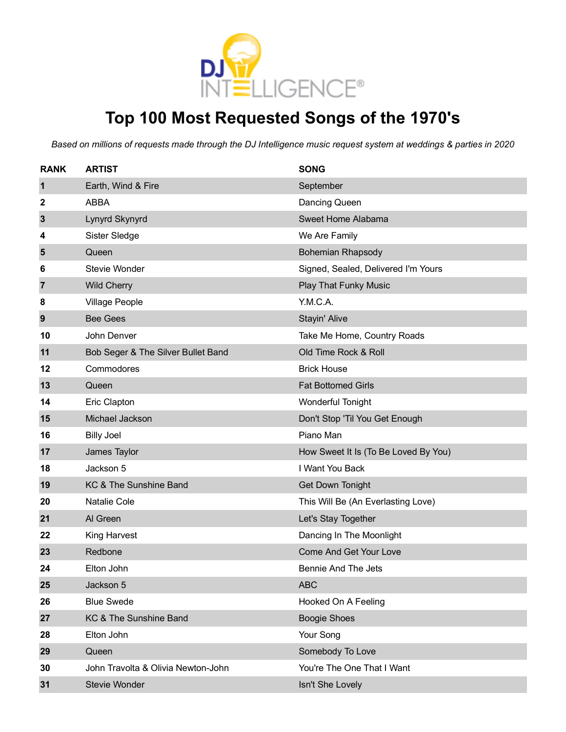

# **Top 100 Most Requested Songs of the 1970's**

| <b>RANK</b>    | <b>ARTIST</b>                      | <b>SONG</b>                          |
|----------------|------------------------------------|--------------------------------------|
| 1              | Earth, Wind & Fire                 | September                            |
| 2              | <b>ABBA</b>                        | Dancing Queen                        |
| 3              | Lynyrd Skynyrd                     | Sweet Home Alabama                   |
| 4              | Sister Sledge                      | We Are Family                        |
| 5              | Queen                              | <b>Bohemian Rhapsody</b>             |
| 6              | Stevie Wonder                      | Signed, Sealed, Delivered I'm Yours  |
| $\overline{7}$ | <b>Wild Cherry</b>                 | <b>Play That Funky Music</b>         |
| 8              | <b>Village People</b>              | Y.M.C.A.                             |
| 9              | <b>Bee Gees</b>                    | Stayin' Alive                        |
| 10             | John Denver                        | Take Me Home, Country Roads          |
| 11             | Bob Seger & The Silver Bullet Band | Old Time Rock & Roll                 |
| 12             | Commodores                         | <b>Brick House</b>                   |
| 13             | Queen                              | <b>Fat Bottomed Girls</b>            |
| 14             | Eric Clapton                       | Wonderful Tonight                    |
| 15             | Michael Jackson                    | Don't Stop 'Til You Get Enough       |
| 16             | <b>Billy Joel</b>                  | Piano Man                            |
| 17             | James Taylor                       | How Sweet It Is (To Be Loved By You) |
| 18             | Jackson 5                          | I Want You Back                      |
| 19             | KC & The Sunshine Band             | <b>Get Down Tonight</b>              |
| 20             | <b>Natalie Cole</b>                | This Will Be (An Everlasting Love)   |
| 21             | Al Green                           | Let's Stay Together                  |
| 22             | King Harvest                       | Dancing In The Moonlight             |
| 23             | Redbone                            | <b>Come And Get Your Love</b>        |
| 24             | Elton John                         | Bennie And The Jets                  |
| 25             | Jackson 5                          | <b>ABC</b>                           |
| 26             | <b>Blue Swede</b>                  | Hooked On A Feeling                  |
| 27             | KC & The Sunshine Band             | <b>Boogie Shoes</b>                  |
| 28             | Elton John                         | Your Song                            |
| 29             | Queen                              | Somebody To Love                     |
|                |                                    |                                      |
| 30             | John Travolta & Olivia Newton-John | You're The One That I Want           |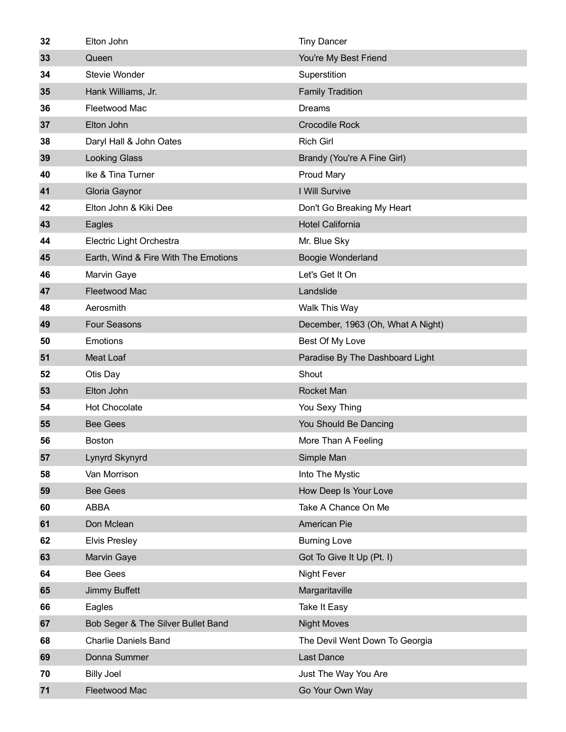| 32       | Elton John                           | <b>Tiny Dancer</b>                      |
|----------|--------------------------------------|-----------------------------------------|
| 33       | Queen                                | You're My Best Friend                   |
| 34       | Stevie Wonder                        | Superstition                            |
| 35       | Hank Williams, Jr.                   | <b>Family Tradition</b>                 |
| 36       | Fleetwood Mac                        | Dreams                                  |
| 37       | Elton John                           | <b>Crocodile Rock</b>                   |
| 38       | Daryl Hall & John Oates              | <b>Rich Girl</b>                        |
| 39       | <b>Looking Glass</b>                 | Brandy (You're A Fine Girl)             |
| 40       | Ike & Tina Turner                    | <b>Proud Mary</b>                       |
| 41       | Gloria Gaynor                        | I Will Survive                          |
| 42       | Elton John & Kiki Dee                | Don't Go Breaking My Heart              |
| 43       | Eagles                               | <b>Hotel California</b>                 |
| 44       | Electric Light Orchestra             | Mr. Blue Sky                            |
| 45       | Earth, Wind & Fire With The Emotions | Boogie Wonderland                       |
| 46       | Marvin Gaye                          | Let's Get It On                         |
| 47       | Fleetwood Mac                        | Landslide                               |
| 48       | Aerosmith                            | Walk This Way                           |
| 49       | <b>Four Seasons</b>                  | December, 1963 (Oh, What A Night)       |
| 50       | <b>Emotions</b>                      | Best Of My Love                         |
| 51       | <b>Meat Loaf</b>                     | Paradise By The Dashboard Light         |
| 52       | Otis Day                             | Shout                                   |
| 53       | Elton John                           | Rocket Man                              |
| 54       | <b>Hot Chocolate</b>                 | You Sexy Thing                          |
| 55       | <b>Bee Gees</b>                      | You Should Be Dancing                   |
| 56       | <b>Boston</b>                        | More Than A Feeling                     |
| 57       |                                      |                                         |
| 58       | Lynyrd Skynyrd                       | Simple Man                              |
|          | Van Morrison                         | Into The Mystic                         |
| 59       | <b>Bee Gees</b>                      | How Deep Is Your Love                   |
| 60       | <b>ABBA</b>                          | Take A Chance On Me                     |
| 61       | Don Mclean                           | <b>American Pie</b>                     |
| 62       | <b>Elvis Presley</b>                 | <b>Burning Love</b>                     |
| 63       | <b>Marvin Gaye</b>                   | Got To Give It Up (Pt. I)               |
| 64       | <b>Bee Gees</b>                      | <b>Night Fever</b>                      |
| 65       | Jimmy Buffett                        | Margaritaville                          |
| 66       | Eagles                               | Take It Easy                            |
| 67       | Bob Seger & The Silver Bullet Band   | <b>Night Moves</b>                      |
| 68       | <b>Charlie Daniels Band</b>          | The Devil Went Down To Georgia          |
| 69       | Donna Summer                         | Last Dance                              |
| 70<br>71 | <b>Billy Joel</b><br>Fleetwood Mac   | Just The Way You Are<br>Go Your Own Way |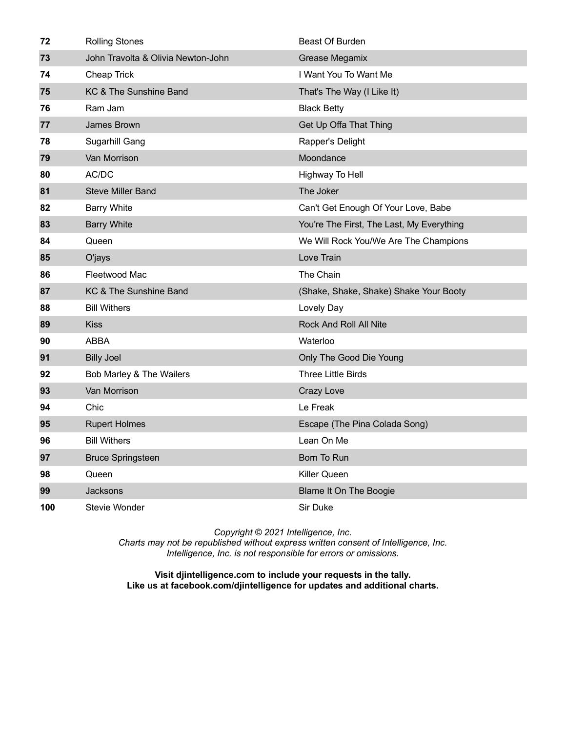| 72  | <b>Rolling Stones</b>              | <b>Beast Of Burden</b>                    |
|-----|------------------------------------|-------------------------------------------|
| 73  | John Travolta & Olivia Newton-John | Grease Megamix                            |
| 74  | Cheap Trick                        | I Want You To Want Me                     |
| 75  | KC & The Sunshine Band             | That's The Way (I Like It)                |
| 76  | Ram Jam                            | <b>Black Betty</b>                        |
| 77  | James Brown                        | Get Up Offa That Thing                    |
| 78  | Sugarhill Gang                     | Rapper's Delight                          |
| 79  | Van Morrison                       | Moondance                                 |
| 80  | AC/DC                              | Highway To Hell                           |
| 81  | <b>Steve Miller Band</b>           | The Joker                                 |
| 82  | <b>Barry White</b>                 | Can't Get Enough Of Your Love, Babe       |
| 83  | <b>Barry White</b>                 | You're The First, The Last, My Everything |
| 84  | Queen                              | We Will Rock You/We Are The Champions     |
| 85  | O'jays                             | Love Train                                |
| 86  | Fleetwood Mac                      | The Chain                                 |
| 87  | KC & The Sunshine Band             | (Shake, Shake, Shake) Shake Your Booty    |
| 88  | <b>Bill Withers</b>                | Lovely Day                                |
| 89  | <b>Kiss</b>                        | <b>Rock And Roll All Nite</b>             |
| 90  | <b>ABBA</b>                        | Waterloo                                  |
| 91  | <b>Billy Joel</b>                  | Only The Good Die Young                   |
| 92  | Bob Marley & The Wailers           | <b>Three Little Birds</b>                 |
| 93  | Van Morrison                       | Crazy Love                                |
| 94  | Chic                               | Le Freak                                  |
| 95  | <b>Rupert Holmes</b>               | Escape (The Pina Colada Song)             |
| 96  | <b>Bill Withers</b>                | Lean On Me                                |
| 97  | <b>Bruce Springsteen</b>           | Born To Run                               |
| 98  | Queen                              | Killer Queen                              |
| 99  | Jacksons                           | <b>Blame It On The Boogie</b>             |
| 100 | Stevie Wonder                      | Sir Duke                                  |

*Charts may not be republished without express written consent of Intelligence, Inc. Intelligence, Inc. is not responsible for errors or omissions.*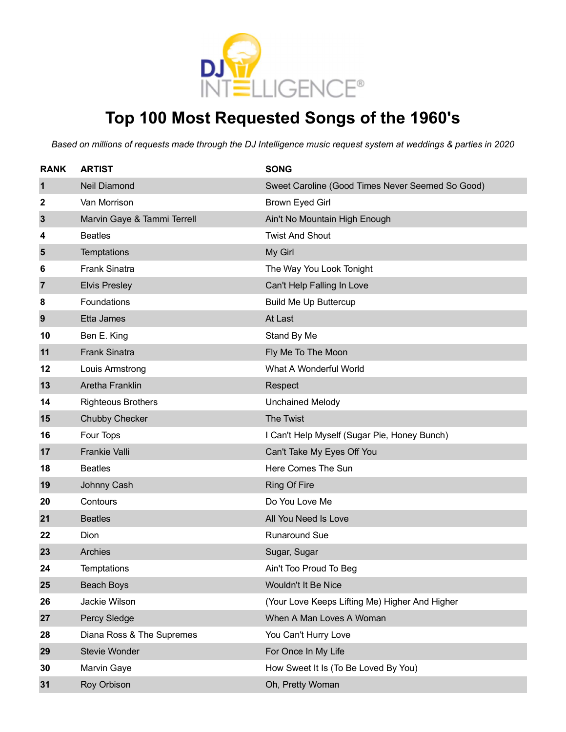

# **Top 100 Most Requested Songs of the 1960's**

| <b>RANK</b>  | <b>ARTIST</b>               | <b>SONG</b>                                      |
|--------------|-----------------------------|--------------------------------------------------|
| $\mathbf 1$  | <b>Neil Diamond</b>         | Sweet Caroline (Good Times Never Seemed So Good) |
| 2            | Van Morrison                | <b>Brown Eyed Girl</b>                           |
| $\mathbf{3}$ | Marvin Gaye & Tammi Terrell | Ain't No Mountain High Enough                    |
| 4            | <b>Beatles</b>              | <b>Twist And Shout</b>                           |
| 5            | Temptations                 | My Girl                                          |
| 6            | <b>Frank Sinatra</b>        | The Way You Look Tonight                         |
| 7            | <b>Elvis Presley</b>        | Can't Help Falling In Love                       |
| 8            | Foundations                 | <b>Build Me Up Buttercup</b>                     |
| 9            | Etta James                  | At Last                                          |
| 10           | Ben E. King                 | Stand By Me                                      |
| 11           | <b>Frank Sinatra</b>        | Fly Me To The Moon                               |
| 12           | Louis Armstrong             | What A Wonderful World                           |
| 13           | <b>Aretha Franklin</b>      | Respect                                          |
| 14           | <b>Righteous Brothers</b>   | <b>Unchained Melody</b>                          |
| 15           | Chubby Checker              | The Twist                                        |
| 16           | Four Tops                   | I Can't Help Myself (Sugar Pie, Honey Bunch)     |
| 17           | <b>Frankie Valli</b>        | Can't Take My Eyes Off You                       |
| 18           | <b>Beatles</b>              | Here Comes The Sun                               |
| 19           | Johnny Cash                 | <b>Ring Of Fire</b>                              |
| 20           | Contours                    | Do You Love Me                                   |
| 21           | <b>Beatles</b>              | All You Need Is Love                             |
| 22           | Dion                        | Runaround Sue                                    |
| 23           | Archies                     | Sugar, Sugar                                     |
| 24           | Temptations                 | Ain't Too Proud To Beg                           |
| 25           | <b>Beach Boys</b>           | Wouldn't It Be Nice                              |
| 26           | Jackie Wilson               | (Your Love Keeps Lifting Me) Higher And Higher   |
| 27           | Percy Sledge                | When A Man Loves A Woman                         |
| 28           | Diana Ross & The Supremes   | You Can't Hurry Love                             |
| 29           | Stevie Wonder               | For Once In My Life                              |
| 30           | Marvin Gaye                 | How Sweet It Is (To Be Loved By You)             |
| 31           | Roy Orbison                 | Oh, Pretty Woman                                 |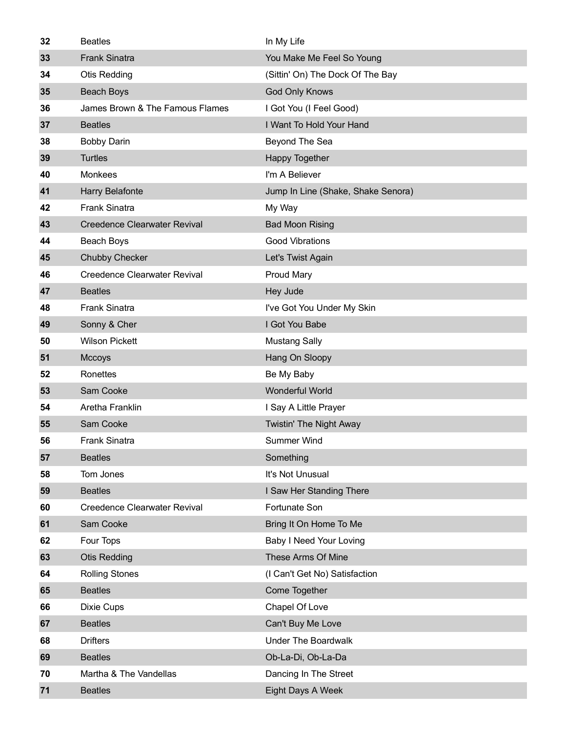| 32       | <b>Beatles</b>                           | In My Life                                 |
|----------|------------------------------------------|--------------------------------------------|
| 33       | <b>Frank Sinatra</b>                     | You Make Me Feel So Young                  |
| 34       | <b>Otis Redding</b>                      | (Sittin' On) The Dock Of The Bay           |
| 35       | <b>Beach Boys</b>                        | <b>God Only Knows</b>                      |
| 36       | James Brown & The Famous Flames          | I Got You (I Feel Good)                    |
| 37       | <b>Beatles</b>                           | I Want To Hold Your Hand                   |
| 38       | <b>Bobby Darin</b>                       | Beyond The Sea                             |
| 39       | <b>Turtles</b>                           | <b>Happy Together</b>                      |
| 40       | <b>Monkees</b>                           | I'm A Believer                             |
| 41       | Harry Belafonte                          | Jump In Line (Shake, Shake Senora)         |
| 42       | <b>Frank Sinatra</b>                     | My Way                                     |
| 43       | <b>Creedence Clearwater Revival</b>      | <b>Bad Moon Rising</b>                     |
| 44       | Beach Boys                               | <b>Good Vibrations</b>                     |
| 45       | <b>Chubby Checker</b>                    | Let's Twist Again                          |
| 46       | <b>Creedence Clearwater Revival</b>      | <b>Proud Mary</b>                          |
| 47       | <b>Beatles</b>                           | Hey Jude                                   |
| 48       | <b>Frank Sinatra</b>                     | I've Got You Under My Skin                 |
| 49       | Sonny & Cher                             | I Got You Babe                             |
| 50       | <b>Wilson Pickett</b>                    | <b>Mustang Sally</b>                       |
| 51       | Mccoys                                   | Hang On Sloopy                             |
| 52       | Ronettes                                 | Be My Baby                                 |
| 53       | Sam Cooke                                | <b>Wonderful World</b>                     |
| 54       | Aretha Franklin                          | I Say A Little Prayer                      |
| 55       | Sam Cooke                                | Twistin' The Night Away                    |
| 56       | <b>Frank Sinatra</b>                     | <b>Summer Wind</b>                         |
| 57       | <b>Beatles</b>                           | Something                                  |
| 58       | Tom Jones                                | It's Not Unusual                           |
| 59       | <b>Beatles</b>                           | I Saw Her Standing There                   |
| 60       | <b>Creedence Clearwater Revival</b>      | Fortunate Son                              |
| 61       | Sam Cooke                                | Bring It On Home To Me                     |
| 62       | Four Tops                                | <b>Baby I Need Your Loving</b>             |
| 63       | <b>Otis Redding</b>                      | These Arms Of Mine                         |
| 64       | <b>Rolling Stones</b>                    | (I Can't Get No) Satisfaction              |
| 65       | <b>Beatles</b>                           | Come Together                              |
| 66       | Dixie Cups                               | Chapel Of Love                             |
| 67       | <b>Beatles</b>                           | Can't Buy Me Love                          |
| 68       | <b>Drifters</b>                          | <b>Under The Boardwalk</b>                 |
| 69       | <b>Beatles</b>                           | Ob-La-Di, Ob-La-Da                         |
|          |                                          |                                            |
| 70<br>71 | Martha & The Vandellas<br><b>Beatles</b> | Dancing In The Street<br>Eight Days A Week |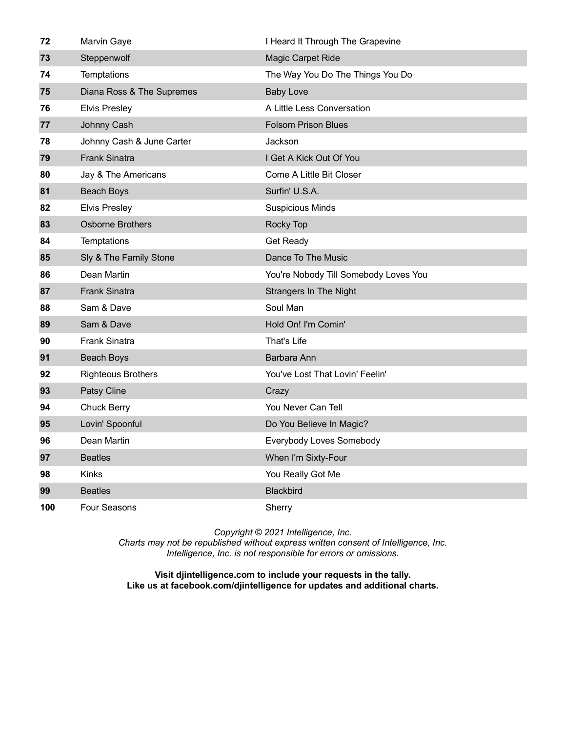| 72  | Marvin Gaye               | I Heard It Through The Grapevine      |
|-----|---------------------------|---------------------------------------|
| 73  | Steppenwolf               | Magic Carpet Ride                     |
| 74  | Temptations               | The Way You Do The Things You Do      |
| 75  | Diana Ross & The Supremes | <b>Baby Love</b>                      |
| 76  | <b>Elvis Presley</b>      | A Little Less Conversation            |
| 77  | Johnny Cash               | <b>Folsom Prison Blues</b>            |
| 78  | Johnny Cash & June Carter | Jackson                               |
| 79  | <b>Frank Sinatra</b>      | I Get A Kick Out Of You               |
| 80  | Jay & The Americans       | Come A Little Bit Closer              |
| 81  | <b>Beach Boys</b>         | Surfin' U.S.A.                        |
| 82  | <b>Elvis Presley</b>      | <b>Suspicious Minds</b>               |
| 83  | <b>Osborne Brothers</b>   | Rocky Top                             |
| 84  | Temptations               | Get Ready                             |
| 85  | Sly & The Family Stone    | Dance To The Music                    |
| 86  | Dean Martin               | You're Nobody Till Somebody Loves You |
| 87  | <b>Frank Sinatra</b>      | <b>Strangers In The Night</b>         |
| 88  | Sam & Dave                | Soul Man                              |
| 89  | Sam & Dave                | Hold On! I'm Comin'                   |
| 90  | <b>Frank Sinatra</b>      | That's Life                           |
| 91  | Beach Boys                | Barbara Ann                           |
| 92  | <b>Righteous Brothers</b> | You've Lost That Lovin' Feelin'       |
| 93  | <b>Patsy Cline</b>        | Crazy                                 |
| 94  | <b>Chuck Berry</b>        | You Never Can Tell                    |
| 95  | Lovin' Spoonful           | Do You Believe In Magic?              |
| 96  | Dean Martin               | <b>Everybody Loves Somebody</b>       |
| 97  | <b>Beatles</b>            | When I'm Sixty-Four                   |
| 98  | <b>Kinks</b>              | You Really Got Me                     |
| 99  | <b>Beatles</b>            | <b>Blackbird</b>                      |
| 100 | <b>Four Seasons</b>       | Sherry                                |

*Charts may not be republished without express written consent of Intelligence, Inc. Intelligence, Inc. is not responsible for errors or omissions.*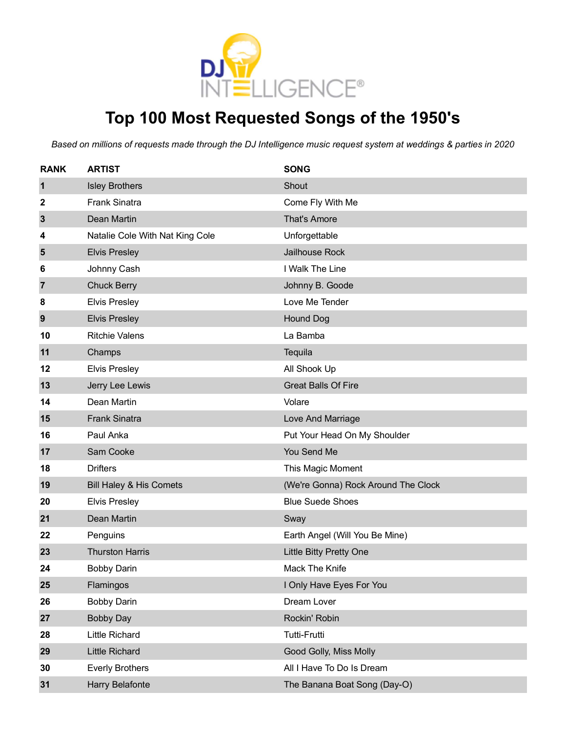

# **Top 100 Most Requested Songs of the 1950's**

| <b>RANK</b> | <b>ARTIST</b>                      | <b>SONG</b>                         |
|-------------|------------------------------------|-------------------------------------|
| 1           | <b>Isley Brothers</b>              | Shout                               |
| 2           | <b>Frank Sinatra</b>               | Come Fly With Me                    |
| 3           | Dean Martin                        | <b>That's Amore</b>                 |
| 4           | Natalie Cole With Nat King Cole    | Unforgettable                       |
| 5           | <b>Elvis Presley</b>               | Jailhouse Rock                      |
| 6           | Johnny Cash                        | I Walk The Line                     |
| 7           | <b>Chuck Berry</b>                 | Johnny B. Goode                     |
| 8           | <b>Elvis Presley</b>               | Love Me Tender                      |
| 9           | <b>Elvis Presley</b>               | Hound Dog                           |
| 10          | <b>Ritchie Valens</b>              | La Bamba                            |
| 11          | Champs                             | Tequila                             |
| 12          | <b>Elvis Presley</b>               | All Shook Up                        |
| 13          | Jerry Lee Lewis                    | <b>Great Balls Of Fire</b>          |
| 14          | Dean Martin                        | Volare                              |
| 15          | <b>Frank Sinatra</b>               | Love And Marriage                   |
| 16          | Paul Anka                          | Put Your Head On My Shoulder        |
| 17          | Sam Cooke                          | You Send Me                         |
| 18          | <b>Drifters</b>                    | This Magic Moment                   |
| 19          | <b>Bill Haley &amp; His Comets</b> | (We're Gonna) Rock Around The Clock |
| 20          | <b>Elvis Presley</b>               | <b>Blue Suede Shoes</b>             |
| 21          | Dean Martin                        | Sway                                |
| 22          | Penguins                           | Earth Angel (Will You Be Mine)      |
| 23          | <b>Thurston Harris</b>             | Little Bitty Pretty One             |
| 24          | <b>Bobby Darin</b>                 | <b>Mack The Knife</b>               |
| 25          | Flamingos                          | I Only Have Eyes For You            |
| 26          | <b>Bobby Darin</b>                 | Dream Lover                         |
| 27          | <b>Bobby Day</b>                   | Rockin' Robin                       |
| 28          | <b>Little Richard</b>              | <b>Tutti-Frutti</b>                 |
| 29          | <b>Little Richard</b>              | Good Golly, Miss Molly              |
| 30          | <b>Everly Brothers</b>             | All I Have To Do Is Dream           |
| 31          | <b>Harry Belafonte</b>             | The Banana Boat Song (Day-O)        |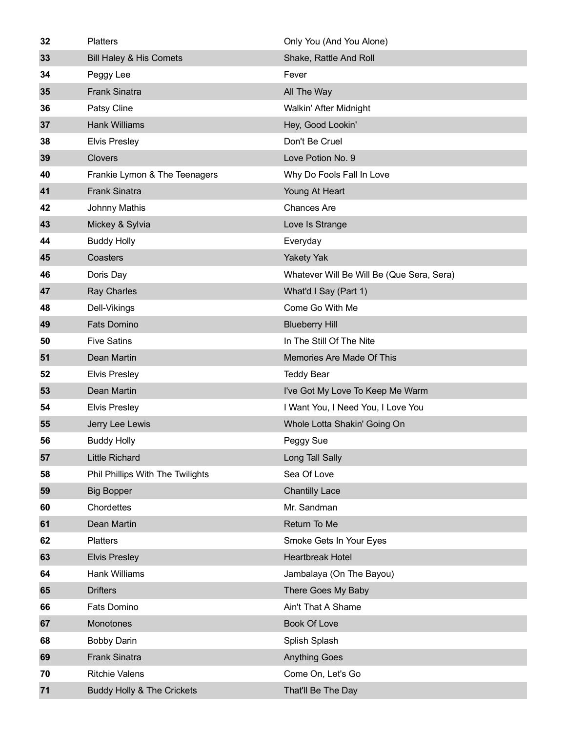| 32 | <b>Platters</b>                    | Only You (And You Alone)                  |
|----|------------------------------------|-------------------------------------------|
| 33 | <b>Bill Haley &amp; His Comets</b> | Shake, Rattle And Roll                    |
| 34 | Peggy Lee                          | Fever                                     |
| 35 | <b>Frank Sinatra</b>               | All The Way                               |
| 36 | Patsy Cline                        | Walkin' After Midnight                    |
| 37 | <b>Hank Williams</b>               | Hey, Good Lookin'                         |
| 38 | <b>Elvis Presley</b>               | Don't Be Cruel                            |
| 39 | Clovers                            | Love Potion No. 9                         |
| 40 | Frankie Lymon & The Teenagers      | Why Do Fools Fall In Love                 |
| 41 | <b>Frank Sinatra</b>               | Young At Heart                            |
| 42 | <b>Johnny Mathis</b>               | <b>Chances Are</b>                        |
| 43 | Mickey & Sylvia                    | Love Is Strange                           |
| 44 | <b>Buddy Holly</b>                 | Everyday                                  |
| 45 | Coasters                           | <b>Yakety Yak</b>                         |
| 46 | Doris Day                          | Whatever Will Be Will Be (Que Sera, Sera) |
| 47 | <b>Ray Charles</b>                 | What'd I Say (Part 1)                     |
| 48 | Dell-Vikings                       | Come Go With Me                           |
| 49 | <b>Fats Domino</b>                 | <b>Blueberry Hill</b>                     |
| 50 | <b>Five Satins</b>                 | In The Still Of The Nite                  |
| 51 | Dean Martin                        | Memories Are Made Of This                 |
| 52 | <b>Elvis Presley</b>               | <b>Teddy Bear</b>                         |
| 53 | Dean Martin                        | I've Got My Love To Keep Me Warm          |
| 54 | <b>Elvis Presley</b>               | I Want You, I Need You, I Love You        |
| 55 | Jerry Lee Lewis                    | Whole Lotta Shakin' Going On              |
| 56 | <b>Buddy Holly</b>                 | Peggy Sue                                 |
| 57 | <b>Little Richard</b>              | Long Tall Sally                           |
| 58 | Phil Phillips With The Twilights   | Sea Of Love                               |
| 59 | <b>Big Bopper</b>                  | <b>Chantilly Lace</b>                     |
| 60 | Chordettes                         | Mr. Sandman                               |
| 61 | Dean Martin                        | Return To Me                              |
| 62 | <b>Platters</b>                    | Smoke Gets In Your Eyes                   |
| 63 |                                    |                                           |
| 64 | <b>Elvis Presley</b>               | <b>Heartbreak Hotel</b>                   |
|    | <b>Hank Williams</b>               | Jambalaya (On The Bayou)                  |
| 65 | <b>Drifters</b>                    | There Goes My Baby                        |
| 66 | Fats Domino                        | Ain't That A Shame                        |
| 67 | Monotones                          | Book Of Love                              |
| 68 | <b>Bobby Darin</b>                 | Splish Splash                             |
| 69 | <b>Frank Sinatra</b>               | <b>Anything Goes</b>                      |
| 70 | <b>Ritchie Valens</b>              | Come On, Let's Go                         |